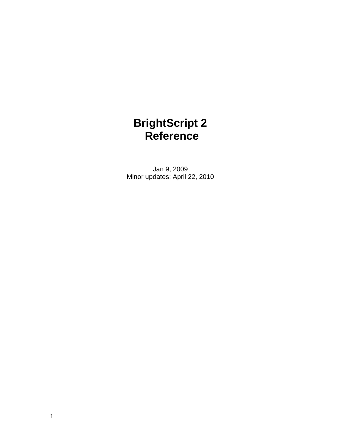# **BrightScript 2 Reference**

Jan 9, 2009 Minor updates: April 22, 2010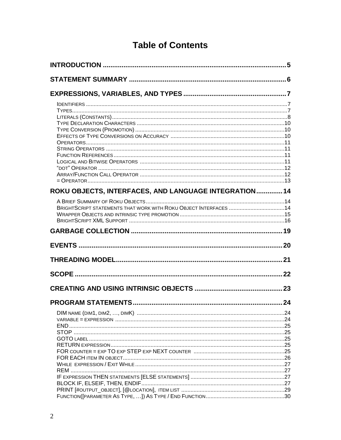# **Table of Contents**

| ROKU OBJECTS, INTERFACES, AND LANGUAGE INTEGRATION 14            |  |
|------------------------------------------------------------------|--|
|                                                                  |  |
| BRIGHTSCRIPT STATEMENTS THAT WORK WITH ROKU OBJECT INTERFACES 14 |  |
|                                                                  |  |
|                                                                  |  |
|                                                                  |  |
|                                                                  |  |
|                                                                  |  |
|                                                                  |  |
|                                                                  |  |
|                                                                  |  |
|                                                                  |  |
|                                                                  |  |
|                                                                  |  |
|                                                                  |  |
|                                                                  |  |
|                                                                  |  |
|                                                                  |  |
|                                                                  |  |
|                                                                  |  |
|                                                                  |  |
|                                                                  |  |
|                                                                  |  |
|                                                                  |  |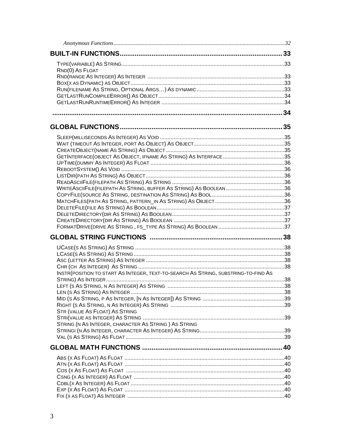| RND(0) AS FLOAT                                                                     |  |
|-------------------------------------------------------------------------------------|--|
|                                                                                     |  |
|                                                                                     |  |
|                                                                                     |  |
|                                                                                     |  |
|                                                                                     |  |
|                                                                                     |  |
|                                                                                     |  |
|                                                                                     |  |
|                                                                                     |  |
|                                                                                     |  |
|                                                                                     |  |
|                                                                                     |  |
|                                                                                     |  |
|                                                                                     |  |
|                                                                                     |  |
|                                                                                     |  |
|                                                                                     |  |
|                                                                                     |  |
|                                                                                     |  |
|                                                                                     |  |
|                                                                                     |  |
|                                                                                     |  |
|                                                                                     |  |
|                                                                                     |  |
|                                                                                     |  |
|                                                                                     |  |
| INSTR (POSITION TO START AS INTEGER, TEXT-TO-SEARCH AS STRING, SUBSTRING-TO-FIND AS |  |
|                                                                                     |  |
|                                                                                     |  |
|                                                                                     |  |
|                                                                                     |  |
| <b>STR (VALUE AS FLOAT) AS STRING</b>                                               |  |
|                                                                                     |  |
| STRING (N AS INTEGER, CHARACTER AS STRING) AS STRING                                |  |
|                                                                                     |  |
|                                                                                     |  |
|                                                                                     |  |
|                                                                                     |  |
|                                                                                     |  |
|                                                                                     |  |
|                                                                                     |  |
|                                                                                     |  |
|                                                                                     |  |
|                                                                                     |  |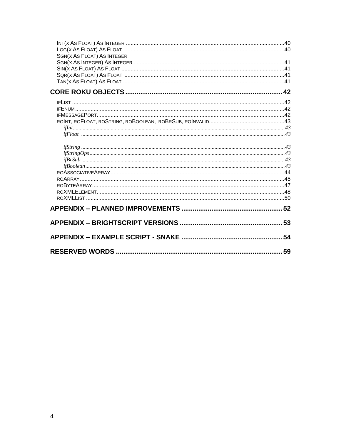| SGN(X AS FLOAT) AS INTEGER |  |
|----------------------------|--|
|                            |  |
|                            |  |
|                            |  |
|                            |  |
|                            |  |
|                            |  |
|                            |  |
|                            |  |
|                            |  |
|                            |  |
|                            |  |
|                            |  |
|                            |  |
|                            |  |
|                            |  |
|                            |  |
|                            |  |
|                            |  |
|                            |  |
|                            |  |
|                            |  |
|                            |  |
|                            |  |
|                            |  |
|                            |  |
|                            |  |
|                            |  |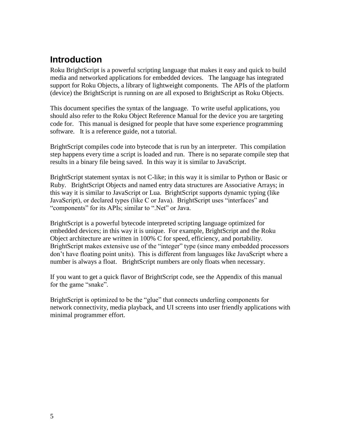# **Introduction**

Roku BrightScript is a powerful scripting language that makes it easy and quick to build media and networked applications for embedded devices. The language has integrated support for Roku Objects, a library of lightweight components. The APIs of the platform (device) the BrightScript is running on are all exposed to BrightScript as Roku Objects.

This document specifies the syntax of the language. To write useful applications, you should also refer to the Roku Object Reference Manual for the device you are targeting code for. This manual is designed for people that have some experience programming software. It is a reference guide, not a tutorial.

BrightScript compiles code into bytecode that is run by an interpreter. This compilation step happens every time a script is loaded and run. There is no separate compile step that results in a binary file being saved. In this way it is similar to JavaScript.

BrightScript statement syntax is not C-like; in this way it is similar to Python or Basic or Ruby. BrightScript Objects and named entry data structures are Associative Arrays; in this way it is similar to JavaScript or Lua. BrightScript supports dynamic typing (like JavaScript), or declared types (like C or Java). BrightScript uses "interfaces" and "components" for its APIs; similar to ".Net" or Java.

BrightScript is a powerful bytecode interpreted scripting language optimized for embedded devices; in this way it is unique. For example, BrightScript and the Roku Object architecture are written in 100% C for speed, efficiency, and portability. BrightScript makes extensive use of the "integer" type (since many embedded processors don"t have floating point units). This is different from languages like JavaScript where a number is always a float. BrightScript numbers are only floats when necessary.

If you want to get a quick flavor of BrightScript code, see the Appendix of this manual for the game "snake".

BrightScript is optimized to be the "glue" that connects underling components for network connectivity, media playback, and UI screens into user friendly applications with minimal programmer effort.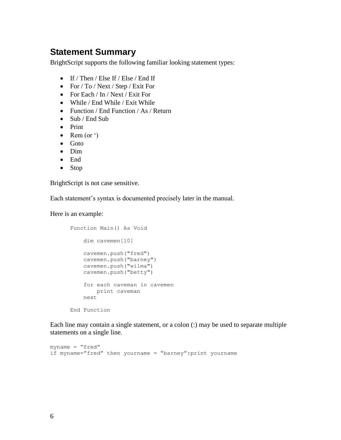## **Statement Summary**

BrightScript supports the following familiar looking statement types:

- If / Then / Else If / Else / End If
- For / To / Next / Step / Exit For
- For Each / In / Next / Exit For
- While / End While / Exit While
- Function / End Function / As / Return
- Sub / End Sub
- Print
- Rem (or  $\prime$ )
- Goto
- Dim
- End
- Stop

BrightScript is not case sensitive.

Each statement's syntax is documented precisely later in the manual.

Here is an example:

```
Function Main() As Void
     dim cavemen[10]
     cavemen.push("fred")
     cavemen.push("barney")
     cavemen.push("wilma")
     cavemen.push("betty")
     for each caveman in cavemen
         print caveman
     next
End Function
```
Each line may contain a single statement, or a colon (:) may be used to separate multiple statements on a single line.

```
myname = "fred"if myname="fred" then yourname = "barney":print yourname
```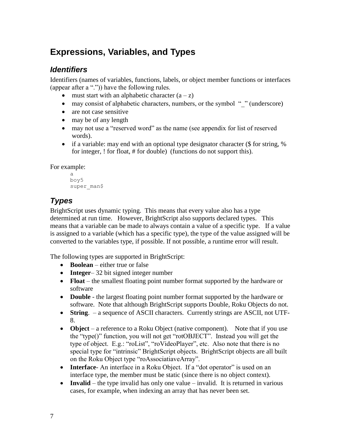# **Expressions, Variables, and Types**

### *Identifiers*

Identifiers (names of variables, functions, labels, or object member functions or interfaces (appear after a ".")) have the following rules.

- must start with an alphabetic character  $(a z)$
- may consist of alphabetic characters, numbers, or the symbol " " (underscore)
- are not case sensitive
- may be of any length
- may not use a "reserved word" as the name (see appendix for list of reserved words).
- if a variable: may end with an optional type designator character ( $\frac{1}{2}$  for string,  $\frac{1}{2}$ for integer, ! for float, # for double) (functions do not support this).

For example:

```
a
boy5
super_man$
```
# *Types*

BrightScript uses dynamic typing. This means that every value also has a type determined at run time. However, BrightScript also supports declared types. This means that a variable can be made to always contain a value of a specific type. If a value is assigned to a variable (which has a specific type), the type of the value assigned will be converted to the variables type, if possible. If not possible, a runtime error will result.

The following types are supported in BrightScript:

- **Boolean** either true or false
- **Integer** 32 bit signed integer number
- **Float** the smallest floating point number format supported by the hardware or software
- **Double** the largest floating point number format supported by the hardware or software. Note that although BrightScript supports Double, Roku Objects do not.
- **String**. a sequence of ASCII characters. Currently strings are ASCII, not UTF-8.
- Object a reference to a Roku Object (native component). Note that if you use the "type()" function, you will not get "rotOBJECT". Instead you will get the type of object. E.g.: "roList", "roVideoPlayer", etc. Also note that there is no special type for "intrinsic" BrightScript objects. BrightScript objects are all built on the Roku Object type "roAssociatiaveArray".
- **Interface** An interface in a Roku Object. If a "dot operator" is used on an interface type, the member must be static (since there is no object context).
- **Invalid** the type invalid has only one value invalid. It is returned in various cases, for example, when indexing an array that has never been set.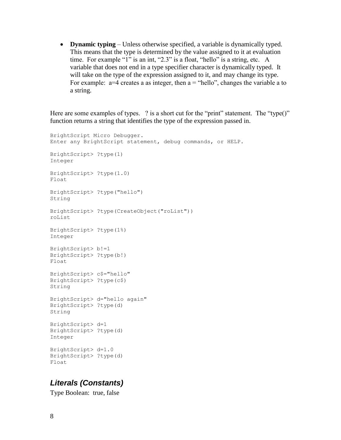**Dynamic typing** – Unless otherwise specified, a variable is dynamically typed. This means that the type is determined by the value assigned to it at evaluation time. For example "1" is an int, "2.3" is a float, "hello" is a string, etc. A variable that does not end in a type specifier character is dynamically typed. It will take on the type of the expression assigned to it, and may change its type. For example:  $a=4$  creates a as integer, then  $a =$  "hello", changes the variable a to a string.

Here are some examples of types. ? is a short cut for the "print" statement. The "type()" function returns a string that identifies the type of the expression passed in.

```
BrightScript Micro Debugger. 
Enter any BrightScript statement, debug commands, or HELP. 
BrightScript> ?type(1) 
Integer
BrightScript> ?type(1.0) 
Float
BrightScript> ?type("hello") 
String
BrightScript> ?type(CreateObject("roList")) 
roList 
BrightScript> ?type(1%)
Integer
BrightScript> b!=1
BrightScript> ?type(b!)
Float
BrightScript> c$="hello"
BrightScript> ?type(c$)
String
BrightScript> d="hello again"
BrightScript> ?type(d)
String
BrightScript> d=1
BrightScript> ?type(d)
Integer
BrightScript> d=1.0
BrightScript> ?type(d)
Float
```
### *Literals (Constants)*

Type Boolean: true, false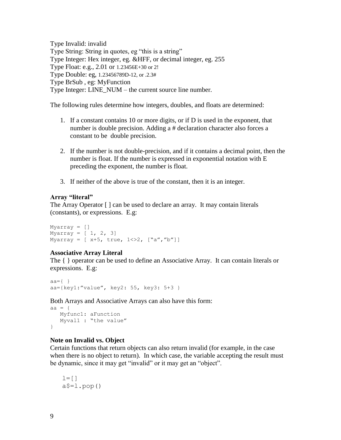Type Invalid: invalid Type String: String in quotes, eg "this is a string" Type Integer: Hex integer, eg. &HFF, or decimal integer, eg. 255 Type Float: e.g., 2.01 or 1.23456E+30 or 2! Type Double: eg, 1.23456789D-12, or .2.3# Type BrSub , eg: MyFunction Type Integer: LINE\_NUM – the current source line number.

The following rules determine how integers, doubles, and floats are determined:

- 1. If a constant contains 10 or more digits, or if D is used in the exponent, that number is double precision. Adding a # declaration character also forces a constant to be double precision.
- 2. If the number is not double-precision, and if it contains a decimal point, then the number is float. If the number is expressed in exponential notation with E preceding the exponent, the number is float.
- 3. If neither of the above is true of the constant, then it is an integer.

#### **Array "literal"**

The Array Operator [ ] can be used to declare an array. It may contain literals (constants), or expressions. E.g:

```
Myarray = []
Myarray = [1, 2, 3]Myarray = [x+5, true, 1 < > 2, [``a'', 'b'']]
```
#### **Associative Array Literal**

The { } operator can be used to define an Associative Array. It can contain literals or expressions. E.g:

```
aa=\{\}aa={key1:"value", key2: 55, key3: 5+3 }
```
Both Arrays and Associative Arrays can also have this form:

```
aa = \{ Myfunc1: aFunction
   Myval1 : "the value"
}
```
#### **Note on Invalid vs. Object**

Certain functions that return objects can also return invalid (for example, in the case when there is no object to return). In which case, the variable accepting the result must be dynamic, since it may get "invalid" or it may get an "object".

 $l = \lceil \rceil$  $a$=1.pop()$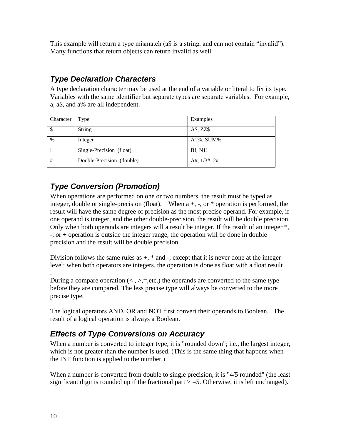This example will return a type mismatch (a\$ is a string, and can not contain "invalid"). Many functions that return objects can return invalid as well

## *Type Declaration Characters*

A type declaration character may be used at the end of a variable or literal to fix its type. Variables with the same identifier but separate types are separate variables. For example, a, a\$, and a% are all independent.

| Character | Type                      | Examples          |
|-----------|---------------------------|-------------------|
| -S        | <b>String</b>             | $A\$ , ZZ\        |
| $\%$      | Integer                   | $A1\%$ , SUM%     |
|           | Single-Precision (float)  | B!, N1!           |
| #         | Double-Precision (double) | A#, $1/3#$ , $2#$ |

## *Type Conversion (Promotion)*

When operations are performed on one or two numbers, the result must be typed as integer, double or single-precision (float). When  $a +$ ,  $\alpha$ ,  $\alpha$   $\alpha$  operation is performed, the result will have the same degree of precision as the most precise operand. For example, if one operand is integer, and the other double-precision, the result will be double precision. Only when both operands are integers will a result be integer. If the result of an integer \*, -, or + operation is outside the integer range, the operation will be done in double precision and the result will be double precision.

Division follows the same rules as  $+$ ,  $*$  and  $-$ , except that it is never done at the integer level: when both operators are integers, the operation is done as float with a float result

. During a compare operation  $\langle \langle , \rangle =$ , etc.) the operands are converted to the same type before they are compared. The less precise type will always be converted to the more precise type.

The logical operators AND, OR and NOT first convert their operands to Boolean. The result of a logical operation is always a Boolean.

## *Effects of Type Conversions on Accuracy*

When a number is converted to integer type, it is "rounded down"; i.e., the largest integer, which is not greater than the number is used. (This is the same thing that happens when the INT function is applied to the number.)

When a number is converted from double to single precision, it is "4/5 rounded" (the least significant digit is rounded up if the fractional part  $> = 5$ . Otherwise, it is left unchanged).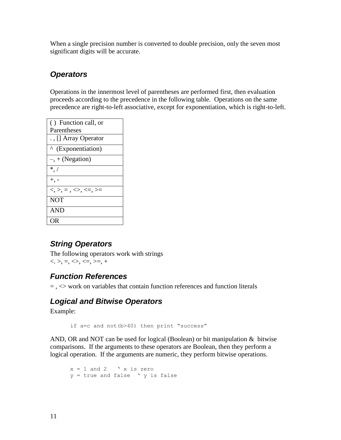When a single precision number is converted to double precision, only the seven most significant digits will be accurate.

### *Operators*

Operations in the innermost level of parentheses are performed first, then evaluation proceeds according to the precedence in the following table. Operations on the same precedence are right-to-left associative, except for exponentiation, which is right-to-left.

| () Function call, or                 |  |  |
|--------------------------------------|--|--|
| Parentheses                          |  |  |
| ., [] Array Operator                 |  |  |
| <sup>^</sup> (Exponentiation)        |  |  |
| $-, +$ (Negation)                    |  |  |
| $^*.$ /                              |  |  |
| $+,\,$ -                             |  |  |
| $<, >, =, \Leftrightarrow, \leq, >=$ |  |  |
| <b>NOT</b>                           |  |  |
| <b>AND</b>                           |  |  |
| )R                                   |  |  |

### *String Operators*

The following operators work with strings  $\langle \langle \rangle, \rangle, \langle \rangle, \langle \rangle, \langle \rangle, \langle \rangle, \rangle, \langle \rangle, \rangle$ 

### *Function References*

 $=$ ,  $\leq$  work on variables that contain function references and function literals

### *Logical and Bitwise Operators*

Example:

if a=c and not(b>40) then print "success"

AND, OR and NOT can be used for logical (Boolean) or bit manipulation & bitwise comparisons. If the arguments to these operators are Boolean, then they perform a logical operation. If the arguments are numeric, they perform bitwise operations.

```
x = 1 and 2 \forall x is zero
y = true and false ' y is false
```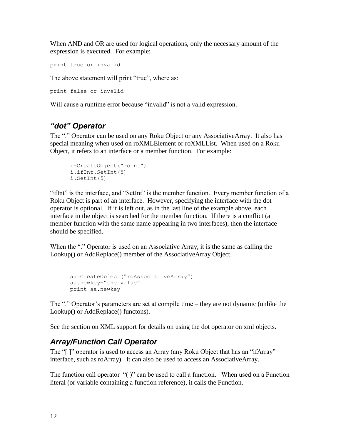When AND and OR are used for logical operations, only the necessary amount of the expression is executed. For example:

```
print true or invalid
```
The above statement will print "true", where as:

```
print false or invalid
```
Will cause a runtime error because "invalid" is not a valid expression.

## *"dot" Operator*

The "." Operator can be used on any Roku Object or any AssociativeArray. It also has special meaning when used on roXMLElement or roXMLList. When used on a Roku Object, it refers to an interface or a member function. For example:

```
i=CreateObject("roInt")
i.ifInt.SetInt(5)
i.SetInt(5)
```
"ifInt" is the interface, and "SetInt" is the member function. Every member function of a Roku Object is part of an interface. However, specifying the interface with the dot operator is optional. If it is left out, as in the last line of the example above, each interface in the object is searched for the member function. If there is a conflict (a member function with the same name appearing in two interfaces), then the interface should be specified.

When the "." Operator is used on an Associative Array, it is the same as calling the Lookup() or AddReplace() member of the AssociativeArray Object.

```
aa=CreateObject("roAssociativeArray")
aa.newkey="the value"
print aa.newkey
```
The "." Operator's parameters are set at compile time – they are not dynamic (unlike the Lookup() or AddReplace() functons).

See the section on XML support for details on using the dot operator on xml objects.

## *Array/Function Call Operator*

The "[ ]" operator is used to access an Array (any Roku Object that has an "ifArray" interface, such as roArray). It can also be used to access an AssociativeArray.

The function call operator "( )" can be used to call a function. When used on a Function literal (or variable containing a function reference), it calls the Function.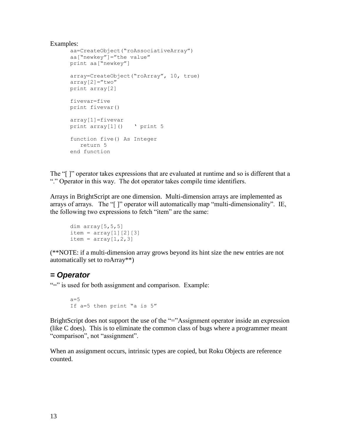#### Examples:

```
aa=CreateObject("roAssociativeArray")
aa["newkey"]="the value"
print aa["newkey"]
array=CreateObject("roArray", 10, true)
array[2] = "two"print array[2]
fivevar=five
print fivevar()
array[1]=fivevar
print array[1]() ' print 5
function five() As Integer
   return 5
end function
```
The "[ ]" operator takes expressions that are evaluated at runtime and so is different that a "." Operator in this way. The dot operator takes compile time identifiers.

Arrays in BrightScript are one dimension. Multi-dimension arrays are implemented as arrays of arrays. The "[ ]" operator will automatically map "multi-dimensionality". IE, the following two expressions to fetch "item" are the same:

```
dim array[5,5,5]
item = array[1][2][3]item = array[1,2,3]
```
(\*\*NOTE: if a multi-dimension array grows beyond its hint size the new entries are not automatically set to roArray\*\*)

#### *= Operator*

"=" is used for both assignment and comparison. Example:

```
a=5If a=5 then print "a is 5"
```
BrightScript does not support the use of the "="Assignment operator inside an expression (like C does). This is to eliminate the common class of bugs where a programmer meant "comparison", not "assignment".

When an assignment occurs, intrinsic types are copied, but Roku Objects are reference counted.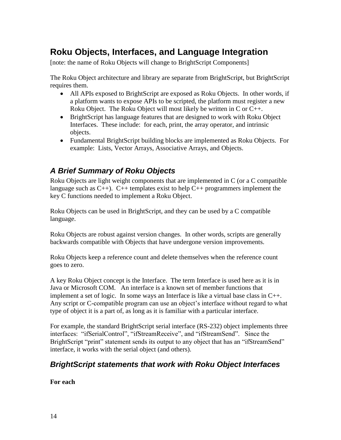# **Roku Objects, Interfaces, and Language Integration**

[note: the name of Roku Objects will change to BrightScript Components]

The Roku Object architecture and library are separate from BrightScript, but BrightScript requires them.

- All APIs exposed to BrightScript are exposed as Roku Objects. In other words, if a platform wants to expose APIs to be scripted, the platform must register a new Roku Object. The Roku Object will most likely be written in C or C++.
- BrightScript has language features that are designed to work with Roku Object Interfaces. These include: for each, print, the array operator, and intrinsic objects.
- Fundamental BrightScript building blocks are implemented as Roku Objects. For example: Lists, Vector Arrays, Associative Arrays, and Objects.

## *A Brief Summary of Roku Objects*

Roku Objects are light weight components that are implemented in C (or a C compatible language such as  $C_{++}$ ).  $C_{++}$  templates exist to help  $C_{++}$  programmers implement the key C functions needed to implement a Roku Object.

Roku Objects can be used in BrightScript, and they can be used by a C compatible language.

Roku Objects are robust against version changes. In other words, scripts are generally backwards compatible with Objects that have undergone version improvements.

Roku Objects keep a reference count and delete themselves when the reference count goes to zero.

A key Roku Object concept is the Interface. The term Interface is used here as it is in Java or Microsoft COM. An interface is a known set of member functions that implement a set of logic. In some ways an Interface is like a virtual base class in C++. Any script or C-compatible program can use an object"s interface without regard to what type of object it is a part of, as long as it is familiar with a particular interface.

For example, the standard BrightScript serial interface (RS-232) object implements three interfaces: "ifSerialControl", "ifStreamReceive", and "ifStreamSend". Since the BrightScript "print" statement sends its output to any object that has an "ifStreamSend" interface, it works with the serial object (and others).

## *BrightScript statements that work with Roku Object Interfaces*

#### **For each**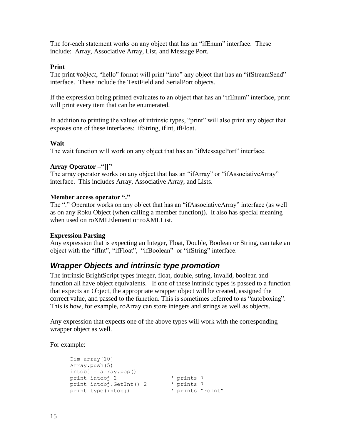The for-each statement works on any object that has an "ifEnum" interface. These include: Array, Associative Array, List, and Message Port.

#### **Print**

The print #*object*, "hello" format will print "into" any object that has an "ifStreamSend" interface. These include the TextField and SerialPort objects.

If the expression being printed evaluates to an object that has an "ifEnum" interface, print will print every item that can be enumerated.

In addition to printing the values of intrinsic types, "print" will also print any object that exposes one of these interfaces: ifString, ifInt, ifFloat..

#### **Wait**

The wait function will work on any object that has an "ifMessagePort" interface.

#### **Array Operator –"[]"**

The array operator works on any object that has an "ifArray" or "ifAssociativeArray" interface. This includes Array, Associative Array, and Lists.

#### **Member access operator "."**

The "." Operator works on any object that has an "ifAssociativeArray" interface (as well as on any Roku Object (when calling a member function)). It also has special meaning when used on roXMLElement or roXMLList.

#### **Expression Parsing**

Any expression that is expecting an Integer, Float, Double, Boolean or String, can take an object with the "ifInt", "ifFloat", "ifBoolean" or "ifString" interface.

#### *Wrapper Objects and intrinsic type promotion*

The intrinsic BrightScript types integer, float, double, string, invalid, boolean and function all have object equivalents. If one of these intrinsic types is passed to a function that expects an Object, the appropriate wrapper object will be created, assigned the correct value, and passed to the function. This is sometimes referred to as "autoboxing". This is how, for example, roArray can store integers and strings as well as objects.

Any expression that expects one of the above types will work with the corresponding wrapper object as well.

For example:

```
Dim array[10]
Array.push(5)
intobj = array.pop()print intobj+2 <br>
print intobj.GetInt()+2 <br>
prints 7<br>
print type(intobj) <br>
verints "roInt"
print intobj.GetInt() + 2print type(intobj)
```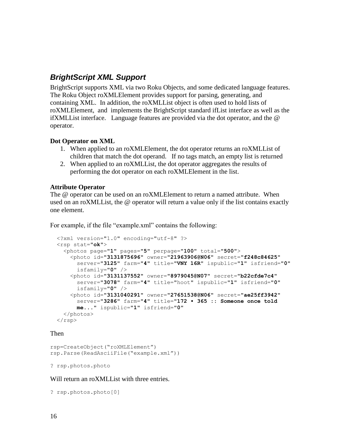### *BrightScript XML Support*

BrightScript supports XML via two Roku Objects, and some dedicated language features. The Roku Object roXMLElement provides support for parsing, generating, and containing XML. In addition, the roXMLList object is often used to hold lists of roXMLElement, and implements the BrightScript standard ifList interface as well as the ifXMLList interface. Language features are provided via the dot operator, and the @ operator.

#### **Dot Operator on XML**

- 1. When applied to an roXMLElement, the dot operator returns an roXMLList of children that match the dot operand. If no tags match, an empty list is returned
- 2. When applied to an roXMLList, the dot operator aggregates the results of performing the dot operator on each roXMLElement in the list.

#### **Attribute Operator**

The @ operator can be used on an roXMLElement to return a named attribute. When used on an roXMLList, the @ operator will return a value only if the list contains exactly one element.

For example, if the file "example.xml" contains the following:

```
<?xml version="1.0" encoding="utf-8" ?>
<rsp stat="ok">
  <photos page="1" pages="5" perpage="100" total="500">
    <photo id="3131875696" owner="21963906@N06" secret="f248c84625" 
      server="3125" farm="4" title="VNY 16R" ispublic="1" isfriend="0"
      isfamily="0" />
    <photo id="3131137552" owner="8979045@N07" secret="b22cfde7c4"
     server="3078" farm="4" title="hoot" ispublic="1" isfriend="0" 
      isfamily="0" />
    <photo id="3131040291" owner="27651538@N06" secret="ae25ff3942" 
     server="3286" farm="4" title="172 • 365 :: Someone once told 
     me..." ispublic="1" isfriend="0" 
  </photos>
\langle/rsp>
```
#### Then

```
rsp=CreateObject("roXMLElement")
rsp.Parse(ReadAsciiFile("example.xml"))
```
? rsp.photos.photo

Will return an roXMLList with three entries.

? rsp.photos.photo[0]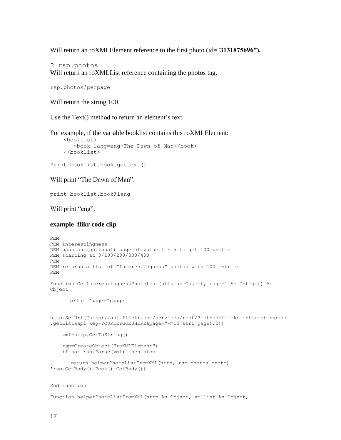Will return an roXMLElement reference to the first photo (id="**3131875696").**

? rsp.photos Will return an roXMLList reference containing the photos tag.

```
rsp.photos@perpage
```
Will return the string 100.

Use the Text() method to return an element's text.

For example, if the variable booklist contains this roXMLElement: <booklist> <book lang=eng>The Dawn of Man</book> </booklist>

Print booklist.book.gettext()

Will print "The Dawn of Man".

print booklist.book@lang

Will print "eng".

#### **example flikr code clip**

```
REM
REM Interestingness
REM pass an (optional) page of value 1 - 5 to get 100 photos 
REM starting at 0/100/200/300/400
REM
REM returns a list of "Interestingness" photos with 100 entries
REM
Function GetInterestingnessPhotoList(http as Object, page=1 As Integer) As 
Object
      print "page=";page
http.SetUrl("http://api.flickr.com/services/rest/?method=flickr.interestingness
.getList&api_key=YOURKEYGOESHERE&page="+mid(stri(page),2))
     xml=http.GetToString()
     rsp=CreateObject("roXMLElement")
     if not rsp.Parse(xml) then stop
      return helperPhotoListFromXML(http, rsp.photos.photo) 
'rsp.GetBody().Peek().GetBody())
End Function
```
Function helperPhotoListFromXML(http As Object, xmllist As Object,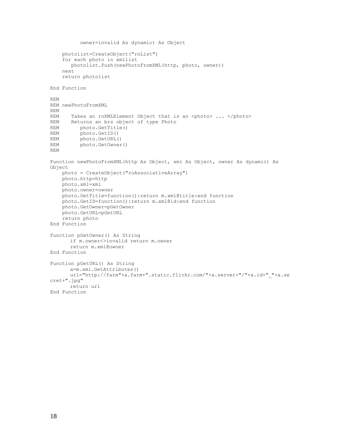```
 owner=invalid As dynamic) As Object
     photolist=CreateObject("roList")
     for each photo in xmllist
       photolist.Push(newPhotoFromXML(http, photo, owner))
     next
     return photolist
End Function
REM
REM newPhotoFromXML
REM
REM Takes an roXMLElement Object that is an <photo> ... </photo>
REM Returns an brs object of type Photo
REM photo.GetTitle()
REM photo.GetID()
REM photo.GetURL()
REM photo.GetOwner()
REM
Function newPhotoFromXML(http As Object, xml As Object, owner As dynamic) As 
Object
     photo = CreateObject("roAssociativeArray")
     photo.http=http
     photo.xml=xml
     photo.owner=owner
     photo.GetTitle=function():return m.xml@title:end function
     photo.GetID=function():return m.xml@id:end function
     photo.GetOwner=pGetOwner
     photo.GetURL=pGetURL
     return photo
End Function
Function pGetOwner() As String
      if m.owner<>invalid return m.owner
      return m.xml@owner
End Function
Function pGetURL() As String
      a=m.xml.GetAttributes()
      url="http://farm"+a.farm+".static.flickr.com/"+a.server+"/"+a.id+" "+a.se
cret+".jpg"
      return url
End Function
```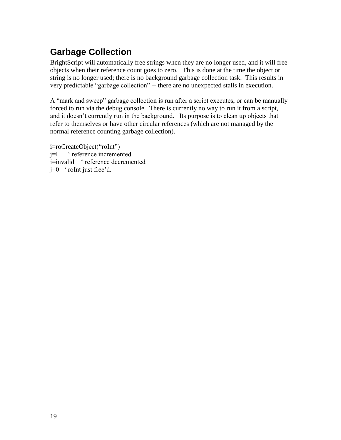# **Garbage Collection**

BrightScript will automatically free strings when they are no longer used, and it will free objects when their reference count goes to zero. This is done at the time the object or string is no longer used; there is no background garbage collection task. This results in very predictable "garbage collection" -- there are no unexpected stalls in execution.

A "mark and sweep" garbage collection is run after a script executes, or can be manually forced to run via the debug console. There is currently no way to run it from a script, and it doesn"t currently run in the background. Its purpose is to clean up objects that refer to themselves or have other circular references (which are not managed by the normal reference counting garbage collection).

i=roCreateObject("roInt") j=I " reference incremented i=invalid " reference decremented  $j=0$  ' roInt just free'd.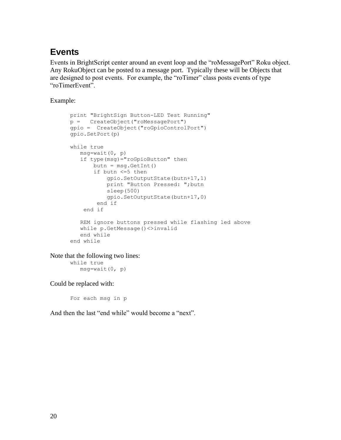## **Events**

Events in BrightScript center around an event loop and the "roMessagePort" Roku object. Any RokuObject can be posted to a message port. Typically these will be Objects that are designed to post events. For example, the "roTimer" class posts events of type "roTimerEvent".

Example:

```
print "BrightSign Button-LED Test Running"
p = CreateObject("roMessagePort")
gpio = CreateObject("roGpioControlPort") 
gpio.SetPort(p)
while true
    msg=wait(0, p)
    if type(msg)="roGpioButton" then 
      butn = msg.GetInt() if butn <=5 then 
            gpio.SetOutputState(butn+17,1)
            print "Button Pressed: ";butn
            sleep(500)
            gpio.SetOutputState(butn+17,0)
         end if
     end if
    REM ignore buttons pressed while flashing led above
    while p.GetMessage()<>invalid 
    end while
end while
```
Note that the following two lines: while true msg=wait(0, p)

Could be replaced with:

For each msg in p

And then the last "end while" would become a "next".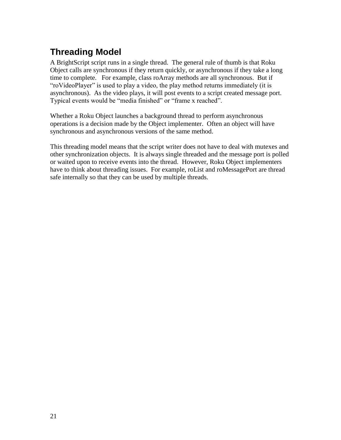# **Threading Model**

A BrightScript script runs in a single thread. The general rule of thumb is that Roku Object calls are synchronous if they return quickly, or asynchronous if they take a long time to complete. For example, class roArray methods are all synchronous. But if "roVideoPlayer" is used to play a video, the play method returns immediately (it is asynchronous). As the video plays, it will post events to a script created message port. Typical events would be "media finished" or "frame x reached".

Whether a Roku Object launches a background thread to perform asynchronous operations is a decision made by the Object implementer. Often an object will have synchronous and asynchronous versions of the same method.

This threading model means that the script writer does not have to deal with mutexes and other synchronization objects. It is always single threaded and the message port is polled or waited upon to receive events into the thread. However, Roku Object implementers have to think about threading issues. For example, roList and roMessagePort are thread safe internally so that they can be used by multiple threads.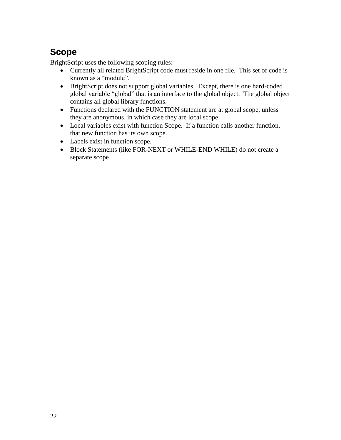# **Scope**

BrightScript uses the following scoping rules:

- Currently all related BrightScript code must reside in one file. This set of code is known as a "module".
- BrightScript does not support global variables. Except, there is one hard-coded global variable "global" that is an interface to the global object. The global object contains all global library functions.
- Functions declared with the FUNCTION statement are at global scope, unless they are anonymous, in which case they are local scope.
- Local variables exist with function Scope. If a function calls another function, that new function has its own scope.
- Labels exist in function scope.
- Block Statements (like FOR-NEXT or WHILE-END WHILE) do not create a separate scope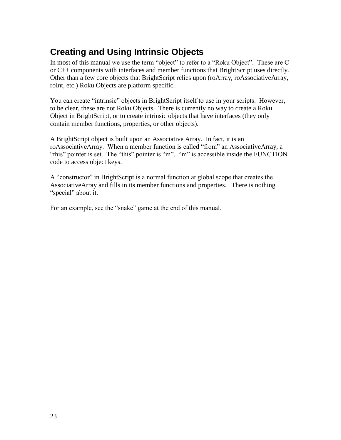# **Creating and Using Intrinsic Objects**

In most of this manual we use the term "object" to refer to a "Roku Object". These are C or C++ components with interfaces and member functions that BrightScript uses directly. Other than a few core objects that BrightScript relies upon (roArray, roAssociativeArray, roInt, etc.) Roku Objects are platform specific.

You can create "intrinsic" objects in BrightScript itself to use in your scripts. However, to be clear, these are not Roku Objects. There is currently no way to create a Roku Object in BrightScript, or to create intrinsic objects that have interfaces (they only contain member functions, properties, or other objects).

A BrightScript object is built upon an Associative Array. In fact, it is an roAssociativeArray. When a member function is called "from" an AssociativeArray, a "this" pointer is set. The "this" pointer is "m". "m" is accessible inside the FUNCTION code to access object keys.

A "constructor" in BrightScript is a normal function at global scope that creates the AssociativeArray and fills in its member functions and properties. There is nothing "special" about it.

For an example, see the "snake" game at the end of this manual.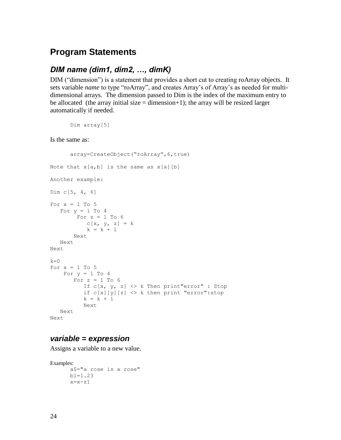### **Program Statements**

#### *DIM name (dim1, dim2, …, dimK)*

DIM ("dimension") is a statement that provides a short cut to creating roArray objects. It sets variable *name* to type "roArray", and creates Array's of Array's as needed for multidimensional arrays. The dimension passed to Dim is the index of the maximum entry to be allocated (the array initial size  $=$  dimension+1); the array will be resized larger automatically if needed.

```
Dim array[5]
```
Is the same as:

```
array=CreateObject("roArray",6,true)
Note that x[a,b] is the same as x[a][b]Another example:
Dim c[5, 4, 6]
For x = 1 To 5
   For y = 1 To 4
        For z = 1 To 6C[X, Y, z] = kk = k + 1 Next
    Next
Next
k=0For x = 1 To 5
   For y = 1 To 4
       For z = 1 To 6
          If c[x, y, z] \Leftrightarrow k Then print"error" : Stop
          if c[x][y][z] \Leftrightarrow k then print "error": stop
          k = k + 1 Next
    Next
Next
```
#### *variable = expression*

Assigns a variable to a new value.

```
Examples: 
      a$="a rose is a rose"
      b1=1.23
      x=x-z1
```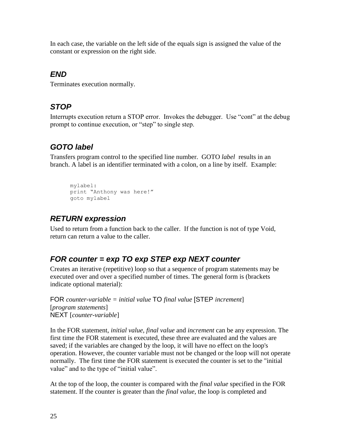In each case, the variable on the left side of the equals sign is assigned the value of the constant or expression on the right side.

### *END*

Terminates execution normally.

### *STOP*

Interrupts execution return a STOP error. Invokes the debugger. Use "cont" at the debug prompt to continue execution, or "step" to single step.

## *GOTO label*

Transfers program control to the specified line number. GOTO *label* results in an branch. A label is an identifier terminated with a colon, on a line by itself. Example:

```
mylabel:
print "Anthony was here!"
goto mylabel
```
### *RETURN expression*

Used to return from a function back to the caller. If the function is not of type Void, return can return a value to the caller.

## *FOR counter = exp TO exp STEP exp NEXT counter*

Creates an iterative (repetitive) loop so that a sequence of program statements may be executed over and over a specified number of times. The general form is (brackets indicate optional material):

```
FOR counter-variable = initial value TO final value [STEP increment] 
[program statements] 
NEXT [counter-variable]
```
In the FOR statement, *initial value, final value* and *increment* can be any expression. The first time the FOR statement is executed, these three are evaluated and the values are saved; if the variables are changed by the loop, it will have no effect on the loop's operation. However, the counter variable must not be changed or the loop will not operate normally. The first time the FOR statement is executed the counter is set to the "initial value" and to the type of "initial value".

At the top of the loop, the counter is compared with the *final value* specified in the FOR statement. If the counter is greater than the *final value*, the loop is completed and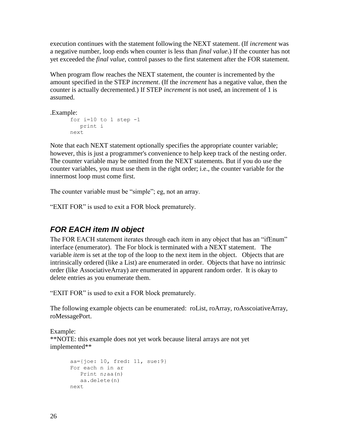execution continues with the statement following the NEXT statement. (If *increment* was a negative number, loop ends when counter is less than *final value*.) If the counter has not yet exceeded the *final value*, control passes to the first statement after the FOR statement.

When program flow reaches the NEXT statement, the counter is incremented by the amount specified in the STEP *increment*. (If the *increment* has a negative value, then the counter is actually decremented.) If STEP *increment* is not used, an increment of 1 is assumed.

.Example:

```
for i=10 to 1 step -1 
    print i
next
```
Note that each NEXT statement optionally specifies the appropriate counter variable; however, this is just a programmer's convenience to help keep track of the nesting order. The counter variable may be omitted from the NEXT statements. But if you do use the counter variables, you must use them in the right order; i.e., the counter variable for the innermost loop must come first.

The counter variable must be "simple"; eg, not an array.

"EXIT FOR" is used to exit a FOR block prematurely.

### *FOR EACH item IN object*

The FOR EACH statement iterates through each item in any object that has an "ifEnum" interface (enumerator). The For block is terminated with a NEXT statement. The variable *item* is set at the top of the loop to the next item in the object. Objects that are intrinsically ordered (like a List) are enumerated in order. Objects that have no intrinsic order (like AssociativeArray) are enumerated in apparent random order. It is okay to delete entries as you enumerate them.

"EXIT FOR" is used to exit a FOR block prematurely.

The following example objects can be enumerated: roList, roArray, roAsscoiativeArray, roMessagePort.

Example: \*\*NOTE: this example does not yet work because literal arrays are not yet implemented\*\*

```
aa={joe: 10, fred: 11, sue:9}
For each n in ar
   Print n;aa(n)
   aa.delete(n)
next
```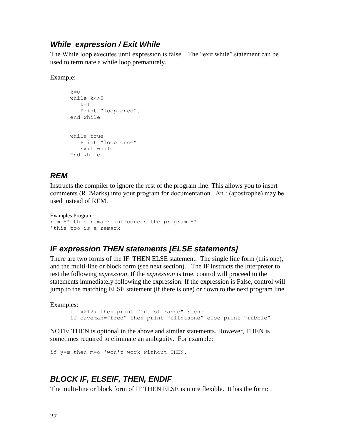#### *While expression / Exit While*

The While loop executes until expression is false. The "exit while" statement can be used to terminate a while loop prematurely.

Example:

```
k=0while k<>0
  k=1 Print "loop once".
end while
while true
   Print "loop once"
   Exit while
End while
```
### *REM*

Instructs the compiler to ignore the rest of the program line. This allows you to insert comments (REMarks) into your program for documentation. An " (apostrophe) may be used instead of REM.

```
Examples Program: 
rem ** this remark introduces the program **
'this too is a remark
```
#### *IF expression THEN statements [ELSE statements]*

There are two forms of the IF THEN ELSE statement. The single line form (this one), and the multi-line or block form (see next section). The IF instructs the Interpreter to test the following *expression*. If the *expression* is true, control will proceed to the statements immediately following the expression. If the expression is False, control will jump to the matching ELSE statement (if there is one) or down to the next program line.

Examples:

if x>127 then print "out of range" : end if caveman="fred" then print "flintsone" else print "rubble"

NOTE: THEN is optional in the above and similar statements. However, THEN is sometimes required to eliminate an ambiguity. For example:

if y=m then m=o "won't work without THEN.

### *BLOCK IF, ELSEIF, THEN, ENDIF*

The multi-line or block form of IF THEN ELSE is more flexible. It has the form: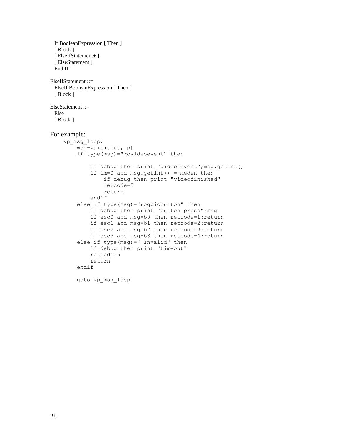```
 If BooleanExpression [ Then ]
 [ Block ]
  [ ElseIfStatement+ ]
  [ ElseStatement ]
  End If 
ElseIfStatement ::=
  ElseIf BooleanExpression [ Then ] 
  [ Block ]
ElseStatement ::=
  Else 
 [ Block ]
For example:
    vp_msg_loop:
        msq=wait(tiut, p) if type(msg)="rovideoevent" then
              if debug then print "video event";msg.getint()
              if lm=0 and msg.getint() = meden then
                   if debug then print "videofinished"
                   retcode=5
                   return
              endif
          else if type(msg)="rogpiobutton" then
              if debug then print "button press";msg
              if esc0 and msg=b0 then retcode=1:return
              if esc1 and msg=b1 then retcode=2:return
              if esc2 and msg=b2 then retcode=3:return
              if esc3 and msg=b3 then retcode=4:return
          else if type(msg)=" Invalid" then
              if debug then print "timeout"
              retcode=6
              return
          endif
          goto vp_msg_loop
```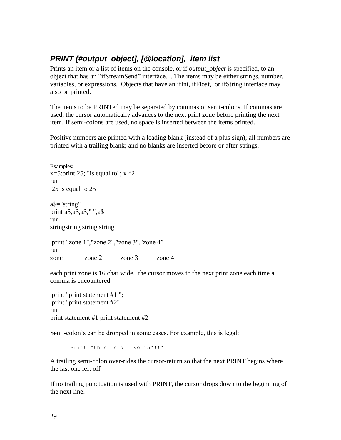### *PRINT [#output\_object], [@location], item list*

Prints an item or a list of items on the console, or if *output\_object* is specified, to an object that has an "ifStreamSend" interface. . The items may be either strings, number, variables, or expressions. Objects that have an ifInt, ifFloat, or ifString interface may also be printed.

The items to be PRINTed may be separated by commas or semi-colons. If commas are used, the cursor automatically advances to the next print zone before printing the next item. If semi-colons are used, no space is inserted between the items printed.

Positive numbers are printed with a leading blank (instead of a plus sign); all numbers are printed with a trailing blank; and no blanks are inserted before or after strings.

Examples: x=5:print 25; "is equal to";  $x \sim 2$ run 25 is equal to 25 a\$="string" print a\$;a\$,a\$;" ";a\$ run stringstring string string print "zone 1","zone 2","zone 3","zone 4" run zone 1 zone 2 zone 3 zone 4

each print zone is 16 char wide. the cursor moves to the next print zone each time a comma is encountered.

print "print statement #1 "; print "print statement #2" run print statement #1 print statement #2

Semi-colon's can be dropped in some cases. For example, this is legal:

Print "this is a five "5"!!"

A trailing semi-colon over-rides the cursor-return so that the next PRINT begins where the last one left off .

If no trailing punctuation is used with PRINT, the cursor drops down to the beginning of the next line.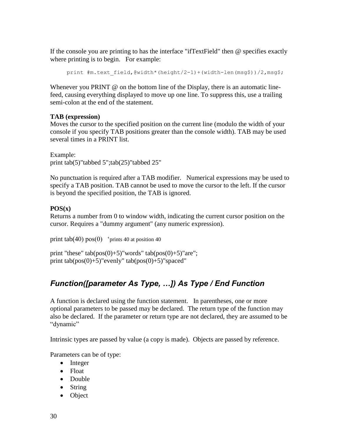If the console you are printing to has the interface "ifTextField" then @ specifies exactly where printing is to begin. For example:

```
print #m.text field,@width*(height/2-1)+(width-len(msg$))/2,msg$;
```
Whenever you PRINT @ on the bottom line of the Display, there is an automatic linefeed, causing everything displayed to move up one line. To suppress this, use a trailing semi-colon at the end of the statement.

#### **TAB (expression)**

Moves the cursor to the specified position on the current line (modulo the width of your console if you specify TAB positions greater than the console width). TAB may be used several times in a PRINT list.

Example: print tab(5)"tabbed 5";tab(25)"tabbed 25"

No punctuation is required after a TAB modifier. Numerical expressions may be used to specify a TAB position. TAB cannot be used to move the cursor to the left. If the cursor is beyond the specified position, the TAB is ignored.

#### **POS(x)**

Returns a number from 0 to window width, indicating the current cursor position on the cursor. Requires a "dummy argument" (any numeric expression).

print tab(40)  $pos(0)$  'prints 40 at position 40

print "these" tab( $pos(0)+5$ )"words" tab( $pos(0)+5$ )"are"; print  $tab(pos(0)+5)$ "evenly"  $tab(pos(0)+5)$ "spaced"

## *Function([parameter As Type, …]) As Type / End Function*

A function is declared using the function statement. In parentheses, one or more optional parameters to be passed may be declared. The return type of the function may also be declared. If the parameter or return type are not declared, they are assumed to be "dynamic"

Intrinsic types are passed by value (a copy is made). Objects are passed by reference.

Parameters can be of type:

- Integer
- Float
- Double
- String
- Object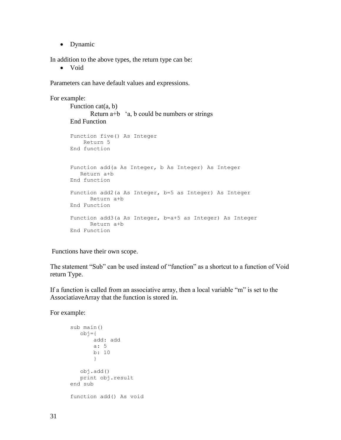• Dynamic

In addition to the above types, the return type can be:

Void

Parameters can have default values and expressions.

```
For example:
      Function cat(a, b)
            Return a+b 'a, b could be numbers or strings
      End Function
      Function five() As Integer
           Return 5
      End function
      Function add(a As Integer, b As Integer) As Integer
          Return a+b
      End function
      Function add2(a As Integer, b=5 as Integer) As Integer
            Return a+b
      End Function
      Function add3(a As Integer, b=a+5 as Integer) As Integer
            Return a+b
      End Function
```
Functions have their own scope.

The statement "Sub" can be used instead of "function" as a shortcut to a function of Void return Type.

If a function is called from an associative array, then a local variable "m" is set to the AssociatiaveArray that the function is stored in.

For example:

```
sub main()
    obj={
        add: add
        a: 5
        b: 10
        }
    obj.add()
    print obj.result
end sub
function add() As void
```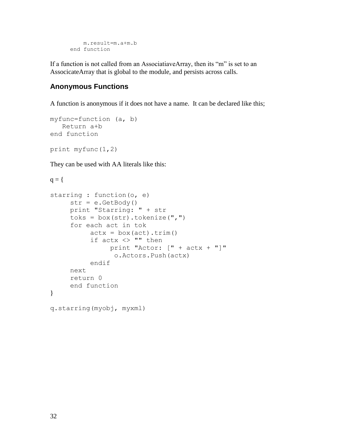```
 m.result=m.a+m.b
end function
```
If a function is not called from an AssociatiaveArray, then its "m" is set to an AssocicateArray that is global to the module, and persists across calls.

#### **Anonymous Functions**

A function is anonymous if it does not have a name. It can be declared like this;

```
myfunc=function (a, b)
    Return a+b
end function
print myfunc(1,2)
```
They can be used with AA literals like this:

```
q = \{starring : function(o, e)
     str = e.GetBody()print "Starring: " + str
     toks = box(str) .tokenize(","")for each act in tok
          acts = box(act).trim()if actx <> "" then
               print "Actor: [" + actx + "]"
                 o.Actors.Push(actx)
          endif
     next
     return 0
     end function
}
q.starring(myobj, myxml)
```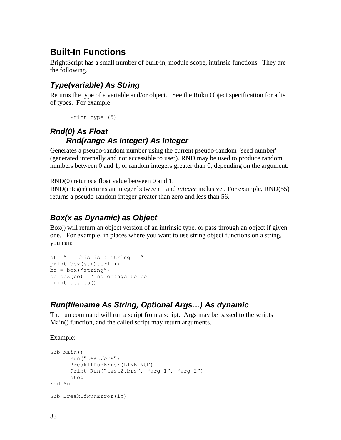## **Built-In Functions**

BrightScript has a small number of built-in, module scope, intrinsic functions. They are the following.

### *Type(variable) As String*

Returns the type of a variable and/or object. See the Roku Object specification for a list of types. For example:

```
Print type (5)
```
## *Rnd(0) As Float Rnd(range As Integer) As Integer*

Generates a pseudo-random number using the current pseudo-random "seed number" (generated internally and not accessible to user). RND may be used to produce random numbers between 0 and 1, or random integers greater than 0, depending on the argument.

RND(0) returns a float value between 0 and 1.

RND(integer) returns an integer between 1 and *integer* inclusive . For example, RND(55) returns a pseudo-random integer greater than zero and less than 56.

### *Box(x as Dynamic) as Object*

Box() will return an object version of an intrinsic type, or pass through an object if given one. For example, in places where you want to use string object functions on a string, you can:

```
str=" this is a string "
print box(str).trim()
bo = box("string")bo = box(bo) ' no change to bo
print bo.md5()
```
### *Run(filename As String, Optional Args…) As dynamic*

The run command will run a script from a script. Args may be passed to the scripts Main() function, and the called script may return arguments.

Example:

```
Sub Main()
     Run("test.brs")
     BreakIfRunError(LINE_NUM)
     Print Run("test2.brs", "arg 1", "arg 2")
     stop
End Sub
Sub BreakIfRunError(ln)
```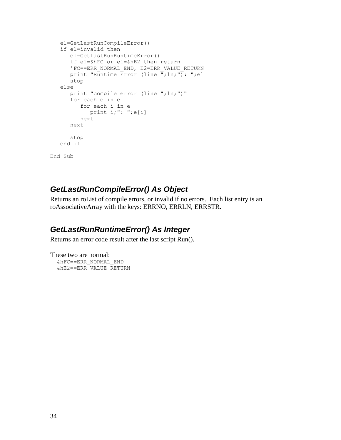```
 el=GetLastRunCompileError()
    if el=invalid then
       el=GetLastRunRuntimeError()
       if el=&hFC or el=&hE2 then return 
       'FC==ERR_NORMAL_END, E2=ERR_VALUE_RETURN
      print "Runtime Error (line \overline{''}; ln; "): "; el
       stop
    else
       print "compile error (line ";ln;")"
       for each e in el
          for each i in e
            print i;": ";e[i]
          next
       next
       stop
    end if
End Sub
```
### *GetLastRunCompileError() As Object*

Returns an roList of compile errors, or invalid if no errors. Each list entry is an roAssociativeArray with the keys: ERRNO, ERRLN, ERRSTR.

### *GetLastRunRuntimeError() As Integer*

Returns an error code result after the last script Run().

These two are normal: &hFC==ERR\_NORMAL\_END &hE2==ERR\_VALUE\_RETURN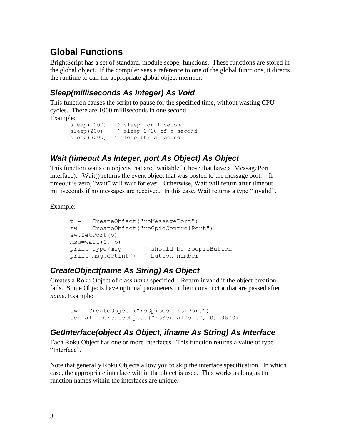# **Global Functions**

BrightScript has a set of standard, module scope, functions. These functions are stored in the global object. If the compiler sees a reference to one of the global functions, it directs the runtime to call the appropriate global object member.

### *Sleep(milliseconds As Integer) As Void*

This function causes the script to pause for the specified time, without wasting CPU cycles. There are 1000 milliseconds in one second. Example:

```
sleep(1000) 'sleep for 1 second
sleep(200) ' sleep 2/10 of a second
sleep(3000) ' sleep three seconds
```
## *Wait (timeout As Integer, port As Object) As Object*

This function waits on objects that are "waitable" (those that have a MessagePort interface). Wait() returns the event object that was posted to the message port. If timeout is zero, "wait" will wait for ever. Otherwise, Wait will return after timeout milliseconds if no messages are received. In this case, Wait returns a type "invalid".

Example:

```
p = CreateObject("roMessagePort")
sw = CreateObject("roGpioControlPort")
sw.SetPort(p)
msq=wait(0, p)print type(msq) v should be roGpioButton
print msg.GetInt() " button number
```
### *CreateObject(name As String) As Object*

Creates a Roku Object of class *name* specified. Return invalid if the object creation fails. Some Objects have optional parameters in their constructor that are passed after *name*. Example:

```
sw = CreateObject("roGpioControlPort")
serial = CreateObject("roSerialPort", 0, 9600)
```
## *GetInterface(object As Object, ifname As String) As Interface*

Each Roku Object has one or more interfaces. This function returns a value of type "Interface".

Note that generally Roku Objects allow you to skip the interface specification. In which case, the appropriate interface within the object is used. This works as long as the function names within the interfaces are unique.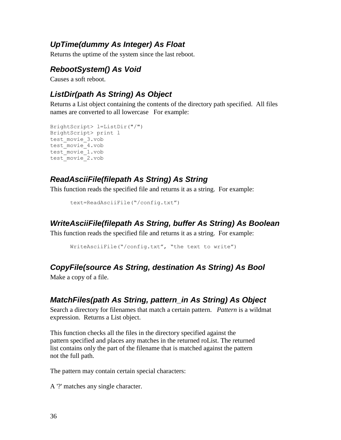### *UpTime(dummy As Integer) As Float*

Returns the uptime of the system since the last reboot.

### *RebootSystem() As Void*

Causes a soft reboot.

## *ListDir(path As String) As Object*

Returns a List object containing the contents of the directory path specified. All files names are converted to all lowercase For example:

```
BrightScript> l=ListDir("/")
BrightScript> print l
test movie 3.vob
test movie 4.vob
test_movie_1.vob
test_movie_2.vob
```
### *ReadAsciiFile(filepath As String) As String*

This function reads the specified file and returns it as a string. For example:

```
text=ReadAsciiFile("/config.txt")
```
#### *WriteAsciiFile(filepath As String, buffer As String) As Boolean*

This function reads the specified file and returns it as a string. For example:

WriteAsciiFile("/config.txt", "the text to write")

### *CopyFile(source As String, destination As String) As Bool*

Make a copy of a file.

### *MatchFiles(path As String, pattern\_in As String) As Object*

Search a directory for filenames that match a certain pattern. *Pattern* is a wildmat expression. Returns a List object.

This function checks all the files in the directory specified against the pattern specified and places any matches in the returned roList. The returned list contains only the part of the filename that is matched against the pattern not the full path.

The pattern may contain certain special characters:

A '?' matches any single character.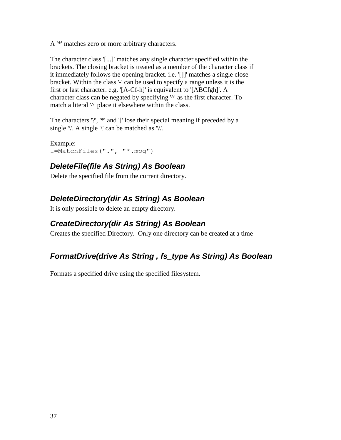A '\*' matches zero or more arbitrary characters.

The character class '[...]' matches any single character specified within the brackets. The closing bracket is treated as a member of the character class if it immediately follows the opening bracket. i.e. '[]]' matches a single close bracket. Within the class '-' can be used to specify a range unless it is the first or last character. e.g. '[A-Cf-h]' is equivalent to '[ABCfgh]'. A character class can be negated by specifying '^' as the first character. To match a literal '^' place it elsewhere within the class.

The characters '?', '\*' and '[' lose their special meaning if preceded by a single  $'\$ . A single  $'\$  can be matched as  $'\$ .

Example: l=MatchFiles(".", "\*.mpg")

## *DeleteFile(file As String) As Boolean*

Delete the specified file from the current directory.

## *DeleteDirectory(dir As String) As Boolean*

It is only possible to delete an empty directory.

### *CreateDirectory(dir As String) As Boolean*

Creates the specified Directory. Only one directory can be created at a time

## *FormatDrive(drive As String , fs\_type As String) As Boolean*

Formats a specified drive using the specified filesystem.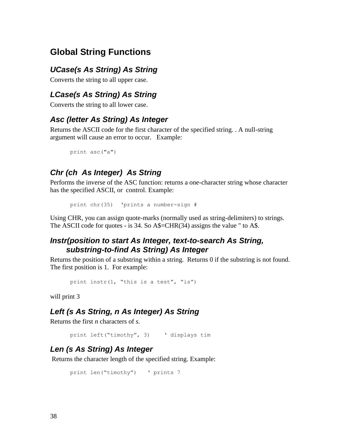## **Global String Functions**

### *UCase(s As String) As String*

Converts the string to all upper case.

### *LCase(s As String) As String*

Converts the string to all lower case.

### *Asc (letter As String) As Integer*

Returns the ASCII code for the first character of the specified string. . A null-string argument will cause an error to occur. Example:

```
print asc("a")
```
### *Chr (ch As Integer) As String*

Performs the inverse of the ASC function: returns a one-character string whose character has the specified ASCII, or control. Example:

```
print chr(35) "prints a number-sign #
```
Using CHR, you can assign quote-marks (normally used as string-delimiters) to strings. The ASCII code for quotes - is 34. So A\$=CHR(34) assigns the value " to A\$.

### *Instr(position to start As Integer, text-to-search As String, substring-to-find As String) As Integer*

Returns the position of a substring within a string. Returns 0 if the substring is not found. The first position is 1. For example:

```
print instr(1, "this is a test", "is")
```
will print 3

### *Left (s As String, n As Integer) As String*

Returns the first *n* characters of *s.* 

print left("timothy", 3) " displays tim

### *Len (s As String) As Integer*

Returns the character length of the specified string. Example:

```
print len("timothy") v prints 7
```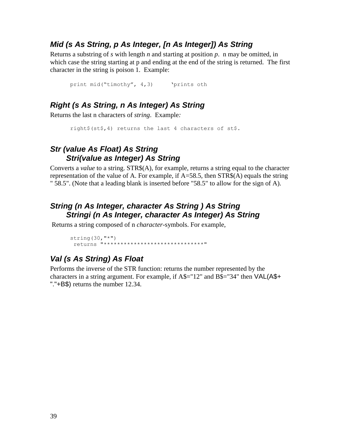#### *Mid (s As String, p As Integer, [n As Integer]) As String*

Returns a substring of *s* with length *n* and starting at position *p*. n may be omitted, in which case the string starting at p and ending at the end of the string is returned. The first character in the string is poison 1. Example:

```
print mid("timothy", 4,3)    'prints oth
```
### *Right (s As String, n As Integer) As String*

Returns the last n characters of *string*. Example*:*

```
right$(st$,4) returns the last 4 characters of st$.
```
### *Str (value As Float) As String Stri(value as Integer) As String*

Converts a *value* to a string. STR\$(A), for example, returns a string equal to the character representation of the value of A. For example, if  $A=58.5$ , then  $STR$(A)$  equals the string " 58.5". (Note that a leading blank is inserted before "58.5" to allow for the sign of A).

### *String (n As Integer, character As String ) As String Stringi (n As Integer, character As Integer) As String*

Returns a string composed of n *character*-symbols. For example,

string $(30, "**")$ returns "\*\*\*\*\*\*\*\*\*\*\*\*\*\*\*\*\*\*\*\*\*\*\*\*\*\*\*\*\*\*"

## *Val (s As String) As Float*

Performs the inverse of the STR function: returns the number represented by the characters in a string argument. For example, if A\$="12" and B\$="34" then VAL(A\$+ "."+B\$) returns the number 12.34.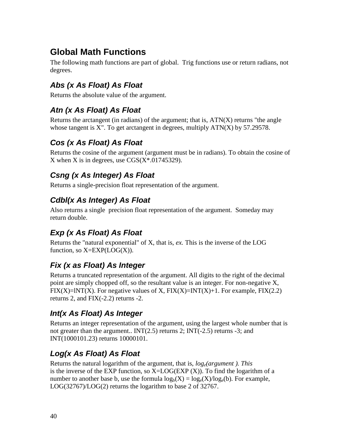# **Global Math Functions**

The following math functions are part of global. Trig functions use or return radians, not degrees.

## *Abs (x As Float) As Float*

Returns the absolute value of the argument.

## *Atn (x As Float) As Float*

Returns the arctangent (in radians) of the argument; that is,  $ATN(X)$  returns "the angle whose tangent is  $X''$ . To get arctangent in degrees, multiply  $ATN(X)$  by 57.29578.

## *Cos (x As Float) As Float*

Returns the cosine of the argument (argument must be in radians). To obtain the cosine of X when X is in degrees, use  $\text{CGS}(X^* \cdot 01745329)$ .

## *Csng (x As Integer) As Float*

Returns a single-precision float representation of the argument.

## *Cdbl(x As Integer) As Float*

Also returns a single precision float representation of the argument. Someday may return double.

## *Exp (x As Float) As Float*

Returns the "natural exponential" of X, that is, *ex.* This is the inverse of the LOG function, so  $X=EXP(LOG(X))$ .

## *Fix (x as Float) As Integer*

Returns a truncated representation of the argument. All digits to the right of the decimal point are simply chopped off, so the resultant value is an integer. For non-negative X,  $FIX(X)=INT(X)$ . For negative values of X,  $FIX(X)=INT(X)+1$ . For example,  $FIX(2.2)$ returns 2, and FIX(-2.2) returns -2.

## *Int(x As Float) As Integer*

Returns an integer representation of the argument, using the largest whole number that is not greater than the argument..  $INT(2.5)$  returns 2;  $INT(-2.5)$  returns -3; and INT(1000101.23) returns 10000101.

## *Log(x As Float) As Float*

Returns the natural logarithm of the argument, that is, *loge(argument ). This*  is the inverse of the EXP function, so  $X = LOG(EXP(X))$ . To find the logarithm of a number to another base b, use the formula  $log_b(X) = log_e(X)/log_e(b)$ . For example, LOG(32767)/LOG(2) returns the logarithm to base 2 of 32767.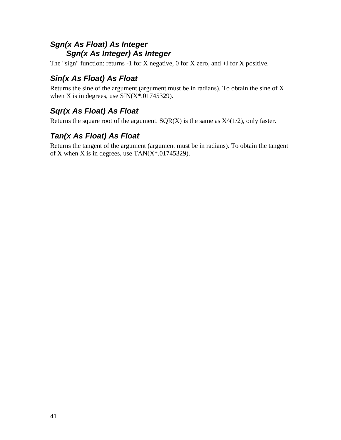## *Sgn(x As Float) As Integer Sgn(x As Integer) As Integer*

The "sign" function: returns -1 for X negative, 0 for X zero, and  $+1$  for X positive.

## *Sin(x As Float) As Float*

Returns the sine of the argument (argument must be in radians). To obtain the sine of X when X is in degrees, use  $\text{SIN}(X^*$ .01745329).

## *Sqr(x As Float) As Float*

Returns the square root of the argument.  $SQR(X)$  is the same as  $X^{\wedge}(1/2)$ , only faster.

## *Tan(x As Float) As Float*

Returns the tangent of the argument (argument must be in radians). To obtain the tangent of X when X is in degrees, use  $TAN(X^*.01745329)$ .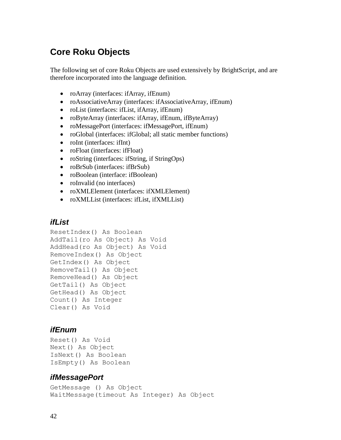## **Core Roku Objects**

The following set of core Roku Objects are used extensively by BrightScript, and are therefore incorporated into the language definition.

- roArray (interfaces: ifArray, ifEnum)
- roAssociativeArray (interfaces: ifAssociativeArray, ifEnum)
- roList (interfaces: ifList, ifArray, ifEnum)
- roByteArray (interfaces: ifArray, ifEnum, ifByteArray)
- roMessagePort (interfaces: ifMessagePort, ifEnum)
- roGlobal (interfaces: ifGlobal; all static member functions)
- roInt (interfaces: ifInt)
- roFloat (interfaces: ifFloat)
- roString (interfaces: ifString, if StringOps)
- roBrSub (interfaces: ifBrSub)
- roBoolean (interface: ifBoolean)
- roInvalid (no interfaces)
- roXMLElement (interfaces: ifXMLElement)
- roXMLList (interfaces: ifList, ifXMLList)

#### *ifList*

```
ResetIndex() As Boolean
AddTail(ro As Object) As Void
AddHead(ro As Object) As Void
RemoveIndex() As Object
GetIndex() As Object
RemoveTail() As Object
RemoveHead() As Object
GetTail() As Object
GetHead() As Object
Count() As Integer
Clear() As Void
```
#### *ifEnum*

```
Reset() As Void
Next() As Object
IsNext() As Boolean
IsEmpty() As Boolean
```
#### *ifMessagePort*

GetMessage () As Object WaitMessage(timeout As Integer) As Object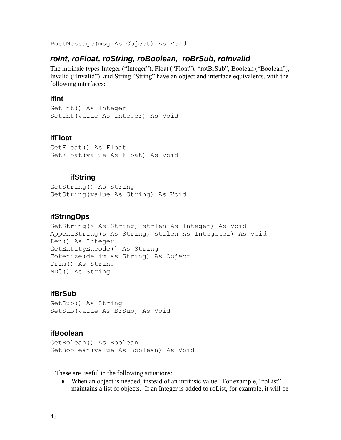PostMessage(msg As Object) As Void

#### *roInt, roFloat, roString, roBoolean, roBrSub, roInvalid*

The intrinsic types Integer ("Integer"), Float ("Float"), "rotBrSub", Boolean ("Boolean"), Invalid ("Invalid") and String "String" have an object and interface equivalents, with the following interfaces:

#### **ifInt**

GetInt() As Integer SetInt(value As Integer) As Void

#### **ifFloat**

GetFloat() As Float SetFloat(value As Float) As Void

#### **ifString**

GetString() As String SetString(value As String) As Void

#### **ifStringOps**

SetString(s As String, strlen As Integer) As Void AppendString(s As String, strlen As Integeter) As void Len() As Integer GetEntityEncode() As String Tokenize(delim as String) As Object Trim() As String MD5() As String

#### **ifBrSub**

GetSub() As String SetSub(value As BrSub) As Void

#### **ifBoolean**

GetBolean() As Boolean SetBoolean(value As Boolean) As Void

. These are useful in the following situations:

When an object is needed, instead of an intrinsic value. For example, "roList" maintains a list of objects. If an Integer is added to roList, for example, it will be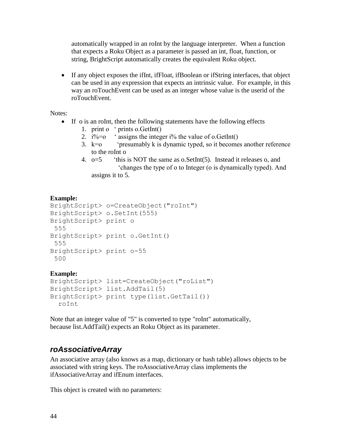automatically wrapped in an roInt by the language interpreter. When a function that expects a Roku Object as a parameter is passed an int, float, function, or string, BrightScript automatically creates the equivalent Roku object.

 If any object exposes the ifInt, ifFloat, ifBoolean or ifString interfaces, that object can be used in any expression that expects an intrinsic value. For example, in this way an roTouchEvent can be used as an integer whose value is the userid of the roTouchEvent.

Notes:

- If o is an roInt, then the following statements have the following effects
	- 1. print o " prints o.GetInt()
	- 2.  $i\%=o$  'assigns the integer  $i\%$  the value of o. GetInt()
	- 3.  $k=0$  "presumably k is dynamic typed, so it becomes another reference to the roInt o
	- 4.  $o=5$  "this is NOT the same as o. SetInt(5). Instead it releases o, and "changes the type of o to Integer (o is dynamically typed). And assigns it to 5.

#### **Example:**

```
BrightScript> o=CreateObject("roInt")
BrightScript> o.SetInt(555)
BrightScript> print o
 555
BrightScript> print o.GetInt()
 555
BrightScript> print o-55
 500
```
#### **Example:**

```
BrightScript> list=CreateObject("roList")
BrightScript> list.AddTail(5)
BrightScript> print type(list.GetTail())
   roInt
```
Note that an integer value of "5" is converted to type "roInt" automatically, because list.AddTail() expects an Roku Object as its parameter.

### *roAssociativeArray*

An associative array (also knows as a map, dictionary or hash table) allows objects to be associated with string keys. The roAssociativeArray class implements the ifAssociativeArray and ifEnum interfaces.

This object is created with no parameters: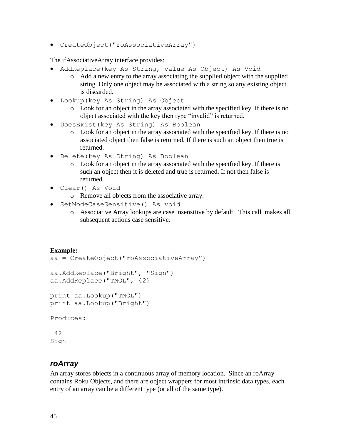CreateObject("roAssociativeArray")

The ifAssociativeArray interface provides:

- AddReplace(key As String, value As Object) As Void
	- o Add a new entry to the array associating the supplied object with the supplied string. Only one object may be associated with a string so any existing object is discarded.
- Lookup(key As String) As Object
	- o Look for an object in the array associated with the specified key. If there is no object associated with the key then type "invalid" is returned.
- DoesExist(key As String) As Boolean
	- o Look for an object in the array associated with the specified key. If there is no associated object then false is returned. If there is such an object then true is returned.
- Delete(key As String) As Boolean
	- o Look for an object in the array associated with the specified key. If there is such an object then it is deleted and true is returned. If not then false is returned.
- Clear() As Void
	- o Remove all objects from the associative array.
- SetModeCaseSensitive() As void
	- o Associative Array lookups are case insensitive by default. This call makes all subsequent actions case sensitive.

```
Example:
aa = CreateObject("roAssociativeArray")
aa.AddReplace("Bright", "Sign")
aa.AddReplace("TMOL", 42)
print aa.Lookup("TMOL")
print aa.Lookup("Bright")
Produces:
 42
Sign
```
#### *roArray*

An array stores objects in a continuous array of memory location. Since an roArray contains Roku Objects, and there are object wrappers for most intrinsic data types, each entry of an array can be a different type (or all of the same type).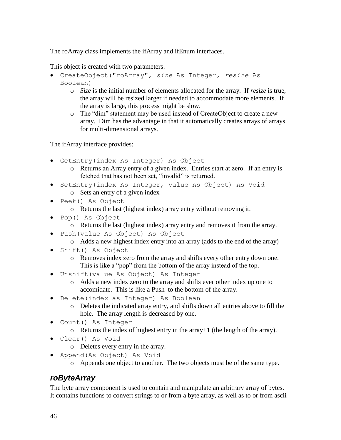The roArray class implements the ifArray and ifEnum interfaces.

This object is created with two parameters:

- CreateObject("roArray", *size* As Integer, *resize* As Boolean)
	- o *Size* is the initial number of elements allocated for the array. If *resize* is true, the array will be resized larger if needed to accommodate more elements. If the array is large, this process might be slow.
	- o The "dim" statement may be used instead of CreateObject to create a new array. Dim has the advantage in that it automatically creates arrays of arrays for multi-dimensional arrays.

The ifArray interface provides:

- GetEntry(index As Integer) As Object
	- o Returns an Array entry of a given index. Entries start at zero. If an entry is fetched that has not been set, "invalid" is returned.
- SetEntry(index As Integer, value As Object) As Void o Sets an entry of a given index
- Peek() As Object
	- o Returns the last (highest index) array entry without removing it.
- Pop() As Object
	- o Returns the last (highest index) array entry and removes it from the array.
- Push(value As Object) As Object
	- o Adds a new highest index entry into an array (adds to the end of the array)
- Shift() As Object
	- o Removes index zero from the array and shifts every other entry down one. This is like a "pop" from the bottom of the array instead of the top.
- Unshift(value As Object) As Integer
	- o Adds a new index zero to the array and shifts ever other index up one to accomidate. This is like a Push to the bottom of the array.
- Delete(index as Integer) As Boolean
	- o Deletes the indicated array entry, and shifts down all entries above to fill the hole. The array length is decreased by one.
- Count() As Integer
	- o Returns the index of highest entry in the array+1 (the length of the array).
- Clear() As Void
	- o Deletes every entry in the array.
- Append(As Object) As Void
	- o Appends one object to another. The two objects must be of the same type.

### *roByteArray*

The byte array component is used to contain and manipulate an arbitrary array of bytes. It contains functions to convert strings to or from a byte array, as well as to or from ascii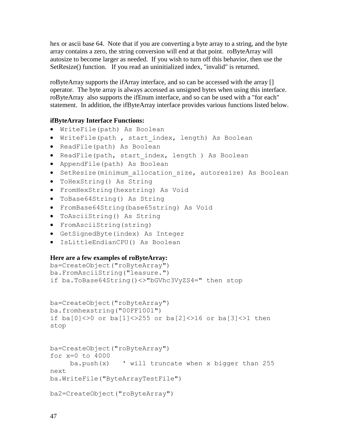hex or ascii base 64. Note that if you are converting a byte array to a string, and the byte array contains a zero, the string conversion will end at that point. roByteArray will autosize to become larger as needed. If you wish to turn off this behavior, then use the SetResize() function. If you read an uninitialized index, "invalid" is returned.

roByteArray supports the ifArray interface, and so can be accessed with the array [] operator. The byte array is always accessed as unsigned bytes when using this interface. roByteArray also supports the ifEnum interface, and so can be used with a "for each" statement. In addition, the ifByteArray interface provides various functions listed below.

#### **ifByteArray Interface Functions:**

- WriteFile(path) As Boolean
- WriteFile(path, start index, length) As Boolean
- ReadFile(path) As Boolean
- ReadFile(path, start index, length ) As Boolean
- AppendFile(path) As Boolean
- SetResize(minimum allocation size, autoresize) As Boolean
- ToHexString() As String
- FromHexString(hexstring) As Void
- ToBase64String() As String
- FromBase64String(base65string) As Void
- ToAsciiString() As String
- FromAsciiString(string)
- GetSignedByte(index) As Integer
- IsLittleEndianCPU() As Boolean

#### **Here are a few examples of roByteArray:**

```
ba=CreateObject("roByteArray")
ba.FromAsciiString("leasure.")
if ba.ToBase64String()<>"bGVhc3VyZS4=" then stop
```

```
ba=CreateObject("roByteArray")
ba.fromhexstring("00FF1001")
if ba[0]<>0 or ba[1]<>255 or ba[2]<>16 or ba[3]<>1 then
stop
```

```
ba=CreateObject("roByteArray")
for x=0 to 4000
    ba.push(x) ' will truncate when x bigger than 255
next
ba.WriteFile("ByteArrayTestFile")
```

```
ba2=CreateObject("roByteArray")
```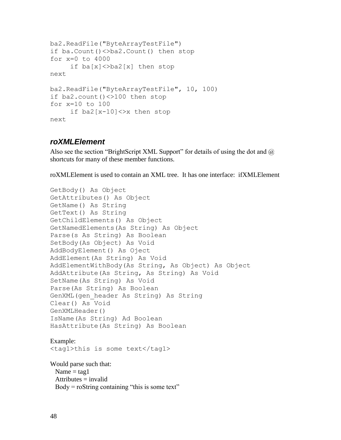```
ba2.ReadFile("ByteArrayTestFile")
if ba.Count()<>ba2.Count() then stop
for x=0 to 4000
     if ba[x]<>ba2[x] then stop
next
ba2.ReadFile("ByteArrayTestFile", 10, 100)
if ba2.count()<>100 then stop
for x=10 to 100
     if ba2[x-10]<>x then stop
next
```
#### *roXMLElement*

Also see the section "BrightScript XML Support" for details of using the dot and  $\omega$ shortcuts for many of these member functions.

roXMLElement is used to contain an XML tree. It has one interface: ifXMLElement

```
GetBody() As Object
GetAttributes() As Object
GetName() As String
GetText() As String
GetChildElements() As Object
GetNamedElements(As String) As Object
Parse(s As String) As Boolean
SetBody(As Object) As Void
AddBodyElement() As Oject
AddElement(As String) As Void
AddElementWithBody(As String, As Object) As Object
AddAttribute(As String, As String) As Void
SetName(As String) As Void
Parse(As String) As Boolean
GenXML(gen_header As String) As String
Clear() As Void
GenXMLHeader()
IsName(As String) Ad Boolean
HasAttribute(As String) As Boolean
```
Example: <tag1>this is some text</tag1>

Would parse such that: Name  $=$  tag1  $Attributes = invalid$ Body = roString containing "this is some text"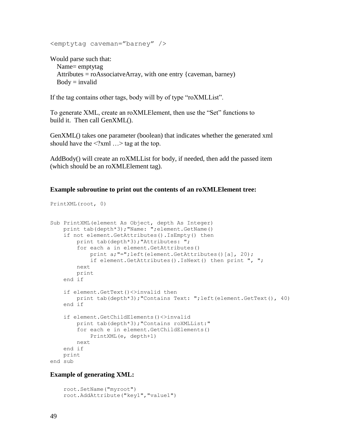```
<emptytag caveman="barney" />
```
Would parse such that: Name= emptytag Attributes  $=$  roAssociatveArray, with one entry {caveman, barney}  $Body = invalid$ 

If the tag contains other tags, body will by of type "roXMLList".

To generate XML, create an roXMLElement, then use the "Set" functions to build it. Then call GenXML().

GenXML() takes one parameter (boolean) that indicates whether the generated xml should have the  $\leq$ ?xml ...> tag at the top.

AddBody() will create an roXMLList for body, if needed, then add the passed item (which should be an roXMLElement tag).

#### **Example subroutine to print out the contents of an roXMLElement tree:**

```
PrintXML(root, 0)
```

```
Sub PrintXML(element As Object, depth As Integer)
   print tab(depth*3); "Name: "; element. GetName()
     if not element.GetAttributes().IsEmpty() then
         print tab(depth*3);"Attributes: ";
         for each a in element.GetAttributes()
             print a;"=";left(element.GetAttributes()[a], 20);
             if element.GetAttributes().IsNext() then print ", ";
         next
         print
     end if
     if element.GetText()<>invalid then
         print tab(depth*3);"Contains Text: ";left(element.GetText(), 40)
     end if
     if element.GetChildElements()<>invalid
         print tab(depth*3);"Contains roXMLList:"
         for each e in element.GetChildElements()
             PrintXML(e, depth+1)
         next
     end if
    print
end sub
```
#### **Example of generating XML:**

```
 root.SetName("myroot")
 root.AddAttribute("key1","value1")
```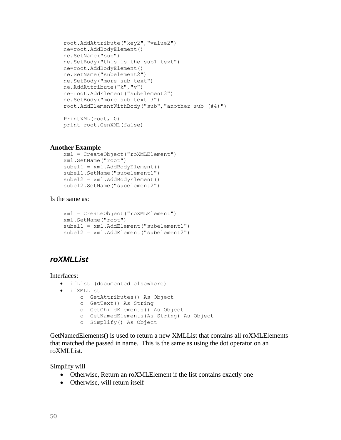```
 root.AddAttribute("key2","value2")
 ne=root.AddBodyElement()
 ne.SetName("sub")
 ne.SetBody("this is the sub1 text")
 ne=root.AddBodyElement()
 ne.SetName("subelement2")
 ne.SetBody("more sub text")
 ne.AddAttribute("k","v")
 ne=root.AddElement("subelement3")
 ne.SetBody("more sub text 3")
 root.AddElementWithBody("sub","another sub (#4)")
 PrintXML(root, 0)
```

```
 print root.GenXML(false)
```
#### **Another Example**

```
 xml = CreateObject("roXMLElement")
 xml.SetName("root")
 subel1 = xml.AddBodyElement()
 subel1.SetName("subelement1")
 subel2 = xml.AddBodyElement()
 subel2.SetName("subelement2")
```
#### Is the same as:

```
 xml = CreateObject("roXMLElement")
 xml.SetName("root")
 subel1 = xml.AddElement("subelement1")
 subel2 = xml.AddElement("subelement2")
```
### *roXMLList*

Interfaces:

- ifList (documented elsewhere)
- ifXMLList
	- o GetAttributes() As Object
	- o GetText() As String
	- o GetChildElements() As Object
	- o GetNamedElements(As String) As Object
	- o Simplify() As Object

GetNamedElements() is used to return a new XMLList that contains all roXMLElements that matched the passed in name. This is the same as using the dot operator on an roXMLList.

Simplify will

- Otherwise, Return an roXMLElement if the list contains exactly one
- Otherwise, will return itself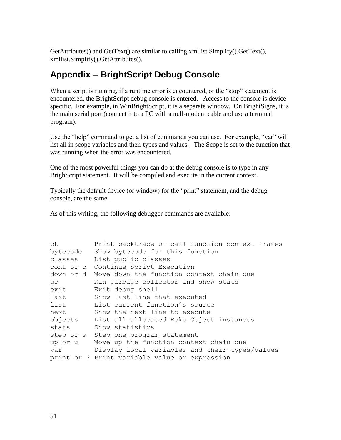GetAttributes() and GetText() are similar to calling xmllist.Simplify().GetText(), xmllist.Simplify().GetAttributes().

## **Appendix – BrightScript Debug Console**

When a script is running, if a runtime error is encountered, or the "stop" statement is encountered, the BrightScript debug console is entered. Access to the console is device specific. For example, in WinBrightScript, it is a separate window. On BrightSigns, it is the main serial port (connect it to a PC with a null-modem cable and use a terminal program).

Use the "help" command to get a list of commands you can use. For example, "var" will list all in scope variables and their types and values. The Scope is set to the function that was running when the error was encountered.

One of the most powerful things you can do at the debug console is to type in any BrighScript statement. It will be compiled and execute in the current context.

Typically the default device (or window) for the "print" statement, and the debug console, are the same.

As of this writing, the following debugger commands are available:

| bt        | Print backtrace of call function context frames |  |  |
|-----------|-------------------------------------------------|--|--|
| bytecode  | Show bytecode for this function                 |  |  |
| classes   | List public classes                             |  |  |
|           | cont or c Continue Script Execution             |  |  |
| down or d | Move down the function context chain one        |  |  |
| qc        | Run garbage collector and show stats            |  |  |
| exit      | Exit debug shell                                |  |  |
| last      | Show last line that executed                    |  |  |
| list      | List current function's source                  |  |  |
| next      | Show the next line to execute                   |  |  |
| objects   | List all allocated Roku Object instances        |  |  |
| stats     | Show statistics                                 |  |  |
|           | step or s Step one program statement            |  |  |
| up or u   | Move up the function context chain one          |  |  |
| var       | Display local variables and their types/values  |  |  |
|           | print or ? Print variable value or expression   |  |  |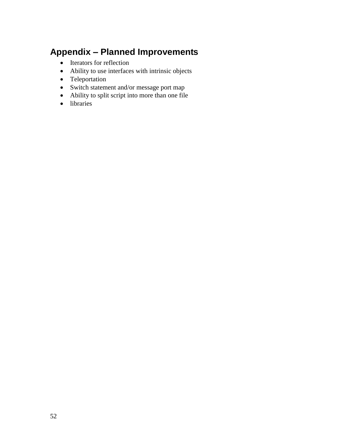# **Appendix – Planned Improvements**

- Iterators for reflection
- Ability to use interfaces with intrinsic objects
- Teleportation
- Switch statement and/or message port map
- Ability to split script into more than one file
- libraries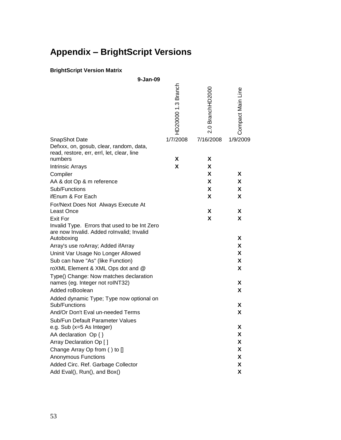# **Appendix – BrightScript Versions**

#### **BrightScript Version Matrix**

| 9-Jan-09                                                  |                    |                  |                   |
|-----------------------------------------------------------|--------------------|------------------|-------------------|
|                                                           | HD20000 1.3 Branch | 2.0 BranchHD2000 | Compact Main Line |
| SnapShot Date<br>Defxxx, on, gosub, clear, random, data,  | 1/7/2008           | 7/16/2008        | 1/9/2009          |
| read, restore, err, errl, let, clear, line                |                    |                  |                   |
| numbers                                                   | X                  | X                |                   |
| <b>Intrinsic Arrays</b>                                   | X                  | X                |                   |
| Compiler                                                  |                    | X                | X                 |
| AA & dot Op & m reference                                 |                    | X                | X                 |
| Sub/Functions                                             |                    | X                | X                 |
| ifEnum & For Each                                         |                    | X                | X                 |
| For/Next Does Not Always Execute At                       |                    |                  |                   |
| Least Once<br><b>Exit For</b>                             |                    | X                | X                 |
| Invalid Type. Errors that used to be Int Zero             |                    | X                | X                 |
| are now Invalid. Added rolnvalid; Invalid<br>Autoboxing   |                    |                  | X                 |
| Array's use roArray; Added ifArray                        |                    |                  | X                 |
| Uninit Var Usage No Longer Allowed                        |                    |                  | X                 |
| Sub can have "As" (like Function)                         |                    |                  | X                 |
| roXML Element & XML Ops dot and @                         |                    |                  | X                 |
| Type() Change: Now matches declaration                    |                    |                  |                   |
| names (eg. Integer not roINT32)                           |                    |                  | X                 |
| Added roBoolean                                           |                    |                  | X                 |
| Added dynamic Type; Type now optional on<br>Sub/Functions |                    |                  | X                 |
| And/Or Don't Eval un-needed Terms                         |                    |                  | X                 |
| Sub/Fun Default Parameter Values                          |                    |                  |                   |
| e.g. Sub (x=5 As Integer)                                 |                    |                  | Χ                 |
| AA declaration Op { }                                     |                    |                  | X                 |
| Array Declaration Op []                                   |                    |                  | X                 |
| Change Array Op from () to []                             |                    |                  | X                 |
| <b>Anonymous Functions</b>                                |                    |                  | X                 |
| Added Circ. Ref. Garbage Collector                        |                    |                  | X                 |
| Add Eval(), Run(), and Box()                              |                    |                  | X                 |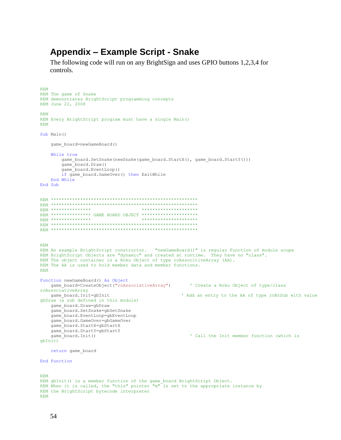### **Appendix – Example Script - Snake**

The following code will run on any BrightSign and uses GPIO buttons 1,2,3,4 for controls.

```
REM
REM The game of Snake
REM demonstrates BrightScript programming concepts
REM June 22, 2008
REM
REM Every BrightScript program must have a single Main()
REM
Sub Main()
     game_board=newGameBoard()
     While true
        game_board.SetSnake(newSnake(game_board.StartX(), game_board.StartY()))
         game_board.Draw()
         game_board.EventLoop()
        if game board.GameOver() then ExitWhile
     End While
End Sub
REM *******************************************************
REM *******************************************************
REM *************** *********************
REM *************** GAME BOARD OBJECT *********************
REM *************** *********************
REM *******************************************************
REM *******************************************************
REM
REM An example BrightScript constructor. "newGameBoard()" is regular Function of module scope
REM BrightScript Objects are "dynamic" and created at runtime. They have no "class". 
REM The object container is a Roku Object of type roAssocitiveArray (AA). 
REM The AA is used to hold member data and member functions.
REM
Function newGameBoard() As Object
    game_board=CreateObject("roAssociativeArray") ' Create a Roku Object of type/class 
roAssociativeArray<br>qame board.Init=qbInit
                                                       ' Add an entry to the AA of type roBrSub with value
qbDraw (\alpha sub defined in this module)
    game_board.Draw=gbDraw
     game_board.SetSnake=gbSetSnake
    game_board.EventLoop=gbEventLoop
    game_board.GameOver=gbGameOver
    game_board.StartX=gbStartX
   game_board.StartY=gbStartY<br>game_board.Init()
                                                          ' Call the Init member function (which is
gbInit)
     return game_board
End Function
REM
REM gbInit() is a member function of the game_board BrightScript Object.
REM When it is called, the "this" pointer "m" is set to the appropriate instance by
REM the BrightScript bytecode interpreter
REM
```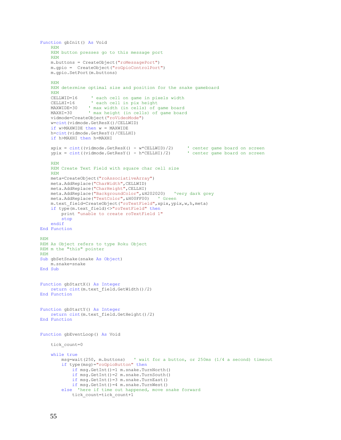```
Function gbInit() As Void
     REM
    REM button presses go to this message port
    REM
    m.buttons = CreateObject("roMessagePort")
     m.gpio = CreateObject("roGpioControlPort") 
    m.gpio.SetPort(m.buttons)
     REM
     REM determine optimal size and position for the snake gameboard
     REM
    CELLWID=16 ' each cell on game in pixels width
     CELLHI=16 ' each cell in pix height
   MAXWIDE=30 ' max width (in cells) of game board<br>MAXHI=30 ' max height (in cells) of game board
                 ' max height (in cells) of game board
    vidmode=CreateObject("roVideoMode")
     w=cint(vidmode.GetResX()/CELLWID)
     if w>MAXWIDE then w = MAXWIDE
    h=cint(vidmode.GetResY()/CELLHI)
     if h>MAXHI then h=MAXHI
 xpix = cint((vidmode.GetResX() - w*CELLWID)/2) ' center game board on screen
 ypix = cint((vidmode.GetResY() - h*CELLHI)/2) ' center game board on screen
     REM
    REM Create Text Field with square char cell size
     REM
    meta=CreateObject("roAssociativeArray")
    meta.AddReplace("CharWidth",CELLWID)
    meta.AddReplace("CharHeight",CELLHI)
    meta.AddReplace("BackgroundColor",&H202020) 'very dark grey
    meta.AddReplace("TextColor",&H00FF00) ' Green
     m.text_field=CreateObject("roTextField",xpix,ypix,w,h,meta)
     if type(m.text_field)<>"roTextField" then
         print "unable to create roTextField 1"
         stop
     endif
End Function
REM
REM As Object refers to type Roku Object
REM m the "this" pointer
REM
Sub gbSetSnake(snake As Object)
    m.snake=snake
End Sub
Function gbStartX() As Integer
    return cint(m.text_field.GetWidth()/2)
End Function
Function gbStartY() As Integer
    return cint(m.text_field.GetHeight()/2)
End Function
Function gbEventLoop() As Void
     tick_count=0
     while true
         msg=wait(250, m.buttons) ' wait for a button, or 250ms (1/4 a second) timeout
         if type(msg)="roGpioButton" then
             if msg.GetInt()=1 m.snake.TurnNorth()
             if msg.GetInt()=2 m.snake.TurnSouth()
             if msg.GetInt()=3 m.snake.TurnEast()
             if msg.GetInt()=4 m.snake.TurnWest()
         else 'here if time out happened, move snake forward
             tick_count=tick_count+1
```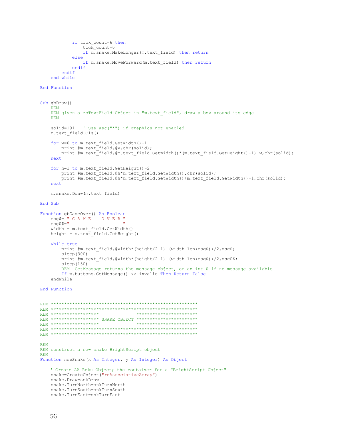```
 if tick_count=6 then
                tick count=0
                if m.snake.MakeLonger(m.text field) then return
             else
                 if m.snake.MoveForward(m.text_field) then return
             endif
         endif
    end while
End Function
Sub gbDraw()
    REM
   REM given a roTextField Object in "m.text field", draw a box around its edge
    REM
    solid=191 ' use asc("*") if graphics not enabled
    m.text_field.Cls()
     for w=0 to m.text_field.GetWidth()-1
        print #m.text_field,@w,chr(solid);
        print #m.text_field,@m.text_field.GetWidth()*(m.text_field.GetHeight()-1)+w,chr(solid);
    next
     for h=1 to m.text_field.GetHeight()-2
print #m.text field,@h*m.text field.GetWidth(),chr(solid);
print #m.text field,@h*m.text field.GetWidth()+m.text field.GetWidth()-1,chr(solid);
    next
    m.snake.Draw(m.text_field)
End Sub
Function gbGameOver() As Boolean
   msg$=" " G A M E 0 V E R "msg0$="
    width = m.text_field.GetWidth()
   height = m.text field.GetHeight()
    while true
        print #m.text field,@width*(height/2-1)+(width-len(msq$))/2,msq$;
        sleep(300)
       print #m.text field,@width*(height/2-1)+(width-len(msg$))/2,msg0$;
         sleep(150)
        REM GetMessage returns the message object, or an int 0 if no message available
         If m.buttons.GetMessage() <> invalid Then Return False
    endwhile
End Function
REM *******************************************************
REM *******************************************************
REM ******************
REM ****************** SNAKE OBJECT ***********************
REM ********************
REM *******************************************************
REM *******************************************************
REM
REM construct a new snake BrightScript object
REM
Function newSnake(x As Integer, y As Integer) As Object
   ' Create AA Roku Object; the container for a "BrightScript Object"
    snake=CreateObject("roAssociativeArray") 
    snake.Draw=snkDraw
    snake.TurnNorth=snkTurnNorth
    snake.TurnSouth=snkTurnSouth
    snake.TurnEast=snkTurnEast
```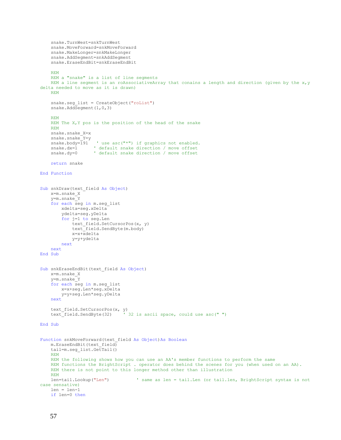```
 snake.TurnWest=snkTurnWest
     snake.MoveForward=snkMoveForward
     snake.MakeLonger=snkMakeLonger
     snake.AddSegment=snkAddSegment
     snake.EraseEndBit=snkEraseEndBit
     REM
     REM a "snake" is a list of line segments
    REM a line segment is an roAssociativeArray that conains a length and direction (given by the x,ydelta needed to move as it is drawn)
     REM
    snake.seg list = CreateObject("roList")
    snake.AddSegment(1,0,3)
     REM
    REM The X, Y pos is the position of the head of the snake
     REM
     snake.snake_X=x
    snake.snake<sup>-</sup>Y=y
    snake.body=\overline{1}91 ' use asc("*") if graphics not enabled.<br>snake.dx=1 ' default snake direction / move offset
    snake.dx=1 ' default snake direction / move offset<br>snake.dy=0 ' default snake direction / move offset
                     ' default snake direction / move offset
     return snake
End Function
Sub snkDraw(text field As Object)
     x=m.snake_X
     y=m.snake_Y
     for each seg in m.seg_list
         xdelta=seg.xDelta
          ydelta=seg.yDelta
          for j=1 to seg.Len
              text_field.SetCursorPos(x, y)
              text_field.SendByte(m.body)
              x=x+xdelta
              y=y+ydelta
         next
     next
End Sub
Sub snkEraseEndBit(text_field As Object)
     x=m.snake_X
     y=m.snake_Y
     for each seg in m.seg_list
         x=x+seg.Len*seg.xDelta
         y=y+seg.Len*seg.yDelta
     next
    text_field.SetCursorPos(x, y)<br>text_field.SendByte(32) '
                                   \frac{1}{32} is ascii space, could use asc(" ")
End Sub
Function snkMoveForward(text field As Object)As Boolean
    m.EraseEndBit(text field)
     tail=m.seg_list.GetTail()
     REM
     REM the following shows how you can use an AA's member functions to perform the same
     REM functions the BrightScript . operator does behind the scenes for you (when used on an AA).
     REM there is not point to this longer method other than illustration
     REM
     len=tail.Lookup("Len") ' same as len = tail.Len (or tail.len, BrightScript syntax is not 
case sensative)
     len = len-1
     if len=0 then
```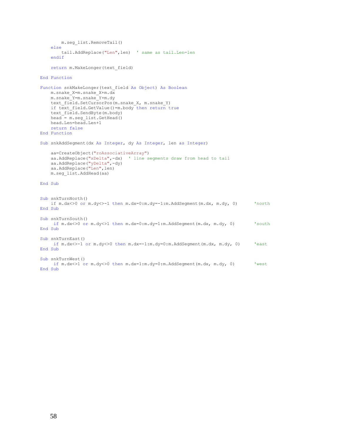```
 m.seg_list.RemoveTail() 
     else
        tail.AddReplace("Len",len) ' same as tail.Len=len
     endif
     return m.MakeLonger(text_field)
End Function
Function snkMakeLonger(text_field As Object) As Boolean
   m.snake X=m.snake X+m.dx
    m.snake_Y=m.snake_Y+m.dy
   text field.SetCursorPos(m.snake X, m.snake Y)
    if text_field.GetValue()=m.body then return true
   text field.SendByte(m.body)
   head = m.seg list.GetHead()
    head.Len=head.Len+1
    return false
End Function
Sub snkAddSegment(dx As Integer, dy As Integer, len as Integer)
     aa=CreateObject("roAssociativeArray")
 aa.AddReplace("xDelta",-dx) ' line segments draw from head to tail
 aa.AddReplace("yDelta",-dy)
   aa.AddReplace("Len", len)
    m.seg_list.AddHead(aa)
End Sub
Sub snkTurnNorth()
    if m.dx<>0 or m.dy<>-1 then m.dx=0:m.dy=-1:m.AddSegment(m.dx, m.dy, 0) 'north
End Sub
Sub snkTurnSouth()
     if m.dx<>0 or m.dy<>1 then m.dx=0:m.dy=1:m.AddSegment(m.dx, m.dy, 0) 'south
End Sub
Sub snkTurnEast()
     if m.dx<>-1 or m.dy<>0 then m.dx=-1:m.dy=0:m.AddSegment(m.dx, m.dy, 0) 'east
End Sub
Sub snkTurnWest()
     if m.dx<>1 or m.dy<>0 then m.dx=1:m.dy=0:m.AddSegment(m.dx, m.dy, 0) 'west
End Sub
```